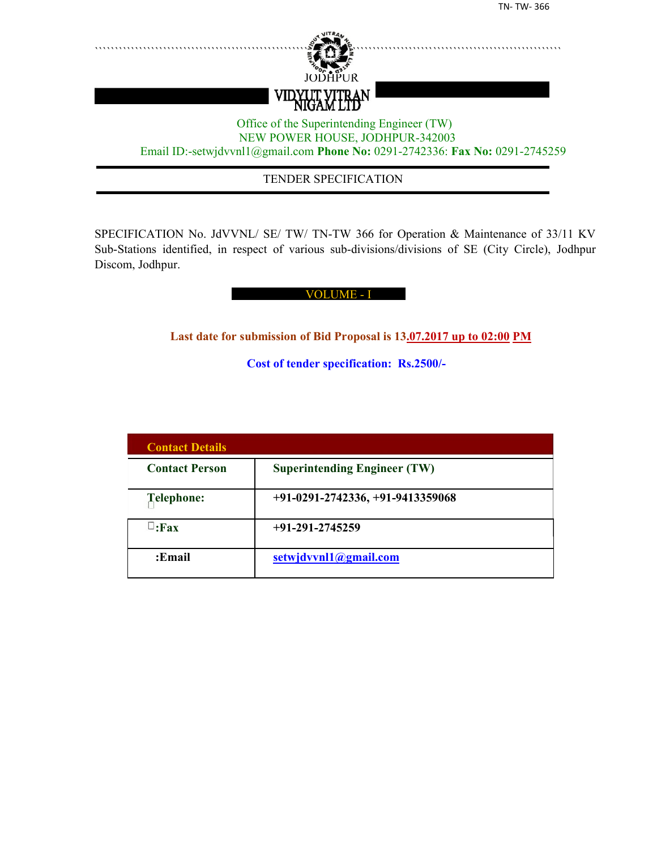

## TENDER SPECIFICATION

SPECIFICATION No. JdVVNL/ SE/ TW/ TN-TW 366 for Operation & Maintenance of 33/11 KV Sub-Stations identified, in respect of various sub-divisions/divisions of SE (City Circle), Jodhpur Discom, Jodhpur.

#### VOLUME - I

**Last date for submission of Bid Proposal is 13.07.2017 up to 02:00 PM**

**Cost of tender specification: Rs.2500/-**

| <b>Contact Details</b> |                                     |
|------------------------|-------------------------------------|
| <b>Contact Person</b>  | <b>Superintending Engineer (TW)</b> |
| Telephone:             | +91-0291-2742336, +91-9413359068    |
| $\Box$ :Fax            | $+91-291-2745259$                   |
| :Email                 | setwjdvvnl1@gmail.com               |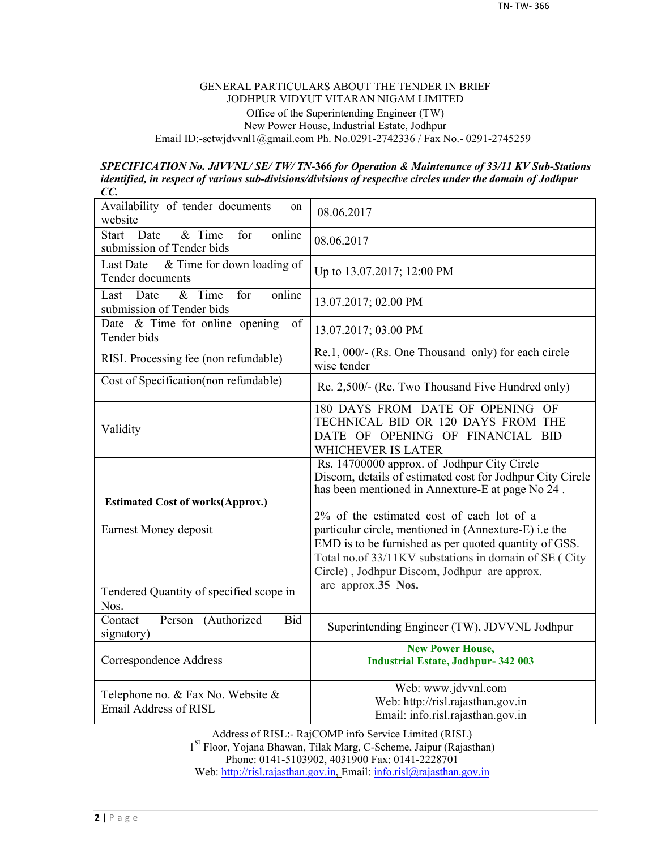#### GENERAL PARTICULARS ABOUT THE TENDER IN BRIEF JODHPUR VIDYUT VITARAN NIGAM LIMITED Office of the Superintending Engineer (TW) New Power House, Industrial Estate, Jodhpur Email ID:-setwjdvvnl1@gmail.com Ph. No.0291-2742336 / Fax No.- 0291-2745259

#### *SPECIFICATION No. JdVVNL/ SE/ TW/ TN-***366** *for Operation & Maintenance of 33/11 KV Sub-Stations identified, in respect of various sub-divisions/divisions of respective circles under the domain of Jodhpur CC.*

| Availability of tender documents<br>on<br>website                            | 08.06.2017                                                                                                                                                   |
|------------------------------------------------------------------------------|--------------------------------------------------------------------------------------------------------------------------------------------------------------|
| online<br>& Time<br><b>Start</b><br>Date<br>for<br>submission of Tender bids | 08.06.2017                                                                                                                                                   |
| & Time for down loading of<br>Last Date<br>Tender documents                  | Up to 13.07.2017; 12:00 PM                                                                                                                                   |
| for<br>$&$ Time<br>online<br>Date<br>Last<br>submission of Tender bids       | 13.07.2017; 02.00 PM                                                                                                                                         |
| Date $\&$ Time for online opening<br>of<br>Tender bids                       | 13.07.2017; 03.00 PM                                                                                                                                         |
| RISL Processing fee (non refundable)                                         | Re.1, 000/- (Rs. One Thousand only) for each circle<br>wise tender                                                                                           |
| Cost of Specification(non refundable)                                        | Re. 2,500/- (Re. Two Thousand Five Hundred only)                                                                                                             |
| Validity                                                                     | 180 DAYS FROM DATE OF OPENING OF<br>TECHNICAL BID OR 120 DAYS FROM THE<br>DATE OF OPENING OF FINANCIAL BID<br>WHICHEVER IS LATER                             |
| <b>Estimated Cost of works(Approx.)</b>                                      | Rs. 14700000 approx. of Jodhpur City Circle<br>Discom, details of estimated cost for Jodhpur City Circle<br>has been mentioned in Annexture-E at page No 24. |
| Earnest Money deposit                                                        | 2% of the estimated cost of each lot of a<br>particular circle, mentioned in (Annexture-E) i.e the<br>EMD is to be furnished as per quoted quantity of GSS.  |
|                                                                              | Total no.of 33/11KV substations in domain of SE (City<br>Circle), Jodhpur Discom, Jodhpur are approx.                                                        |
| Tendered Quantity of specified scope in<br>Nos.                              | are approx.35 Nos.                                                                                                                                           |
| Person (Authorized<br><b>Bid</b><br>Contact<br>signatory)                    | Superintending Engineer (TW), JDVVNL Jodhpur                                                                                                                 |
| Correspondence Address                                                       | <b>New Power House,</b><br><b>Industrial Estate, Jodhpur-342 003</b>                                                                                         |
| Telephone no. $&$ Fax No. Website $&$<br>Email Address of RISL               | Web: www.jdvvnl.com<br>Web: http://risl.rajasthan.gov.in<br>Email: info.risl.rajasthan.gov.in                                                                |

Address of RISL:- RajCOMP info Service Limited (RISL) 1 st Floor, Yojana Bhawan, Tilak Marg, C-Scheme, Jaipur (Rajasthan) Phone: 0141-5103902, 4031900 Fax: 0141-2228701 Web: http://risl.rajasthan.gov.in, Email: info.risl@rajasthan.gov.in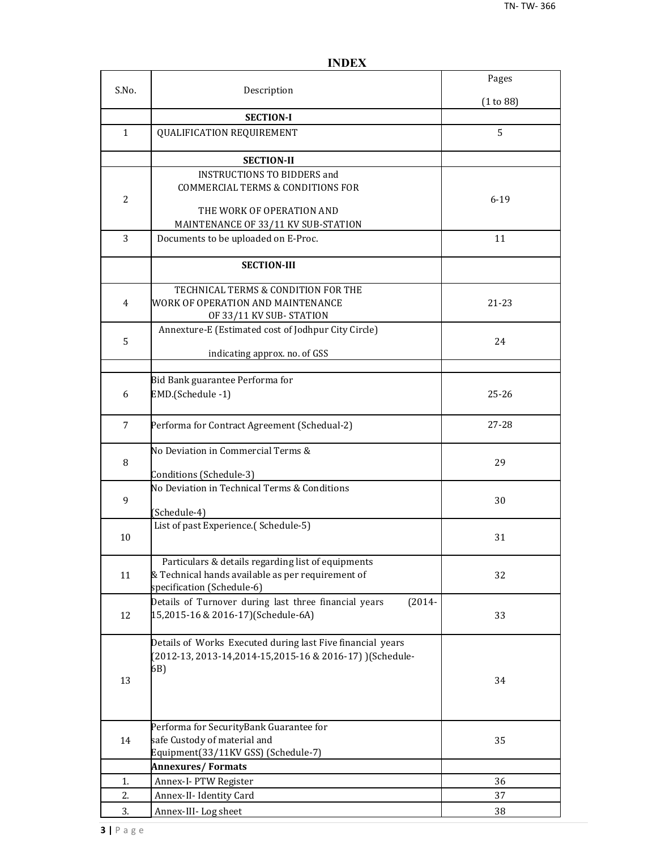|                |                                                                                                                                       | Pages     |
|----------------|---------------------------------------------------------------------------------------------------------------------------------------|-----------|
| S.No.          | Description                                                                                                                           | (1 to 88) |
|                | <b>SECTION-I</b>                                                                                                                      |           |
| $\mathbf{1}$   | <b>QUALIFICATION REQUIREMENT</b>                                                                                                      | 5         |
|                | <b>SECTION-II</b>                                                                                                                     |           |
| $\overline{2}$ | <b>INSTRUCTIONS TO BIDDERS and</b><br><b>COMMERCIAL TERMS &amp; CONDITIONS FOR</b><br>THE WORK OF OPERATION AND                       | $6 - 19$  |
|                | MAINTENANCE OF 33/11 KV SUB-STATION                                                                                                   |           |
| 3              | Documents to be uploaded on E-Proc.                                                                                                   | 11        |
|                | <b>SECTION-III</b>                                                                                                                    |           |
| 4              | TECHNICAL TERMS & CONDITION FOR THE<br>WORK OF OPERATION AND MAINTENANCE<br>OF 33/11 KV SUB-STATION                                   | 21-23     |
| 5              | Annexture-E (Estimated cost of Jodhpur City Circle)<br>indicating approx. no. of GSS                                                  | 24        |
|                |                                                                                                                                       |           |
| 6              | Bid Bank guarantee Performa for<br>EMD.(Schedule -1)                                                                                  | $25 - 26$ |
| $\overline{7}$ | Performa for Contract Agreement (Schedual-2)                                                                                          | 27-28     |
| 8              | No Deviation in Commercial Terms &<br>Conditions (Schedule-3)                                                                         | 29        |
| 9              | No Deviation in Technical Terms & Conditions<br>(Schedule-4)                                                                          | 30        |
| 10             | List of past Experience.(Schedule-5)                                                                                                  | 31        |
| 11             | Particulars & details regarding list of equipments<br>& Technical hands available as per requirement of<br>specification (Schedule-6) | 32        |
| 12             | Details of Turnover during last three financial years<br>$(2014 -$<br>15,2015-16 & 2016-17)(Schedule-6A)                              | 33        |
| 13             | Details of Works Executed during last Five financial years<br>(2012-13, 2013-14, 2014-15, 2015-16 & 2016-17) ) (Schedule-<br>6B)      | 34        |
| 14             | Performa for SecurityBank Guarantee for<br>safe Custody of material and<br>Equipment(33/11KV GSS) (Schedule-7)                        | 35        |
|                | <b>Annexures/Formats</b>                                                                                                              |           |
| 1.             | Annex-I- PTW Register                                                                                                                 | 36        |
| 2.             | Annex-II- Identity Card                                                                                                               | 37        |
| 3.             | Annex-III-Log sheet                                                                                                                   | 38        |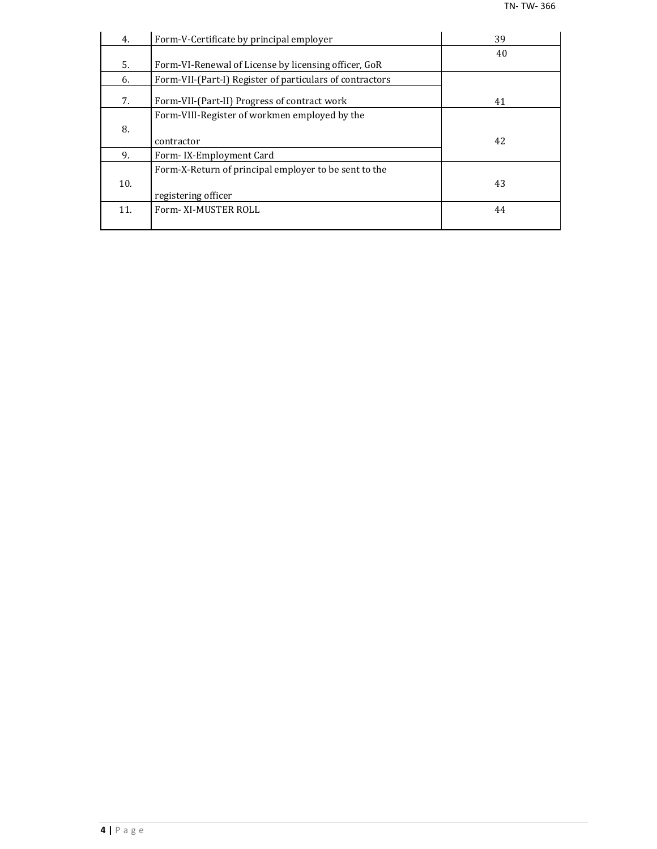| 4.  | Form-V-Certificate by principal employer                 | 39 |
|-----|----------------------------------------------------------|----|
|     |                                                          | 40 |
| 5.  | Form-VI-Renewal of License by licensing officer, GoR     |    |
| 6.  | Form-VII-(Part-I) Register of particulars of contractors |    |
| 7.  | Form-VII-(Part-II) Progress of contract work             | 41 |
|     | Form-VIII-Register of workmen employed by the            |    |
| 8.  |                                                          |    |
|     | contractor                                               | 42 |
| 9.  | Form-IX-Employment Card                                  |    |
|     | Form-X-Return of principal employer to be sent to the    |    |
| 10. |                                                          | 43 |
|     | registering officer                                      |    |
| 11. | Form-XI-MUSTER ROLL                                      | 44 |
|     |                                                          |    |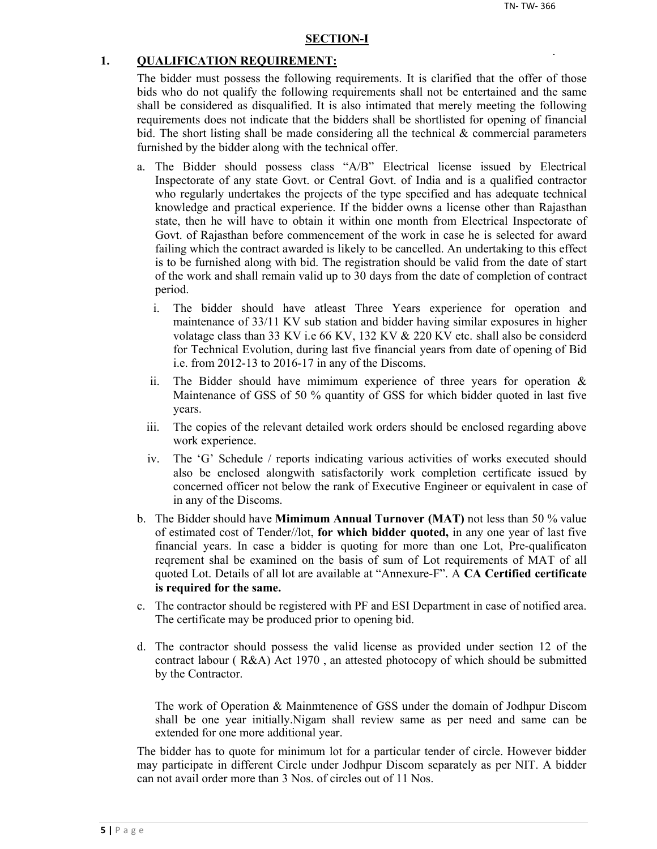#### **SECTION-I**

#### **1. QUALIFICATION REQUIREMENT:**

The bidder must possess the following requirements. It is clarified that the offer of those bids who do not qualify the following requirements shall not be entertained and the same shall be considered as disqualified. It is also intimated that merely meeting the following requirements does not indicate that the bidders shall be shortlisted for opening of financial bid. The short listing shall be made considering all the technical  $\&$  commercial parameters furnished by the bidder along with the technical offer.

- a. The Bidder should possess class "A/B" Electrical license issued by Electrical Inspectorate of any state Govt. or Central Govt. of India and is a qualified contractor who regularly undertakes the projects of the type specified and has adequate technical knowledge and practical experience. If the bidder owns a license other than Rajasthan state, then he will have to obtain it within one month from Electrical Inspectorate of Govt. of Rajasthan before commencement of the work in case he is selected for award failing which the contract awarded is likely to be cancelled. An undertaking to this effect is to be furnished along with bid. The registration should be valid from the date of start of the work and shall remain valid up to 30 days from the date of completion of contract period.
	- i. The bidder should have atleast Three Years experience for operation and maintenance of 33/11 KV sub station and bidder having similar exposures in higher volatage class than 33 KV i.e 66 KV, 132 KV & 220 KV etc. shall also be considerd for Technical Evolution, during last five financial years from date of opening of Bid i.e. from 2012-13 to 2016-17 in any of the Discoms.
	- ii. The Bidder should have mimimum experience of three years for operation  $\&$ Maintenance of GSS of 50 % quantity of GSS for which bidder quoted in last five years.
	- iii. The copies of the relevant detailed work orders should be enclosed regarding above work experience.
	- iv. The 'G' Schedule / reports indicating various activities of works executed should also be enclosed alongwith satisfactorily work completion certificate issued by concerned officer not below the rank of Executive Engineer or equivalent in case of in any of the Discoms.
- b. The Bidder should have **Mimimum Annual Turnover (MAT)** not less than 50 % value of estimated cost of Tender//lot, **for which bidder quoted,** in any one year of last five financial years. In case a bidder is quoting for more than one Lot, Pre-qualificaton reqrement shal be examined on the basis of sum of Lot requirements of MAT of all quoted Lot. Details of all lot are available at "Annexure-F". A **CA Certified certificate is required for the same.**
- c. The contractor should be registered with PF and ESI Department in case of notified area. The certificate may be produced prior to opening bid.
- d. The contractor should possess the valid license as provided under section 12 of the contract labour ( R&A) Act 1970 , an attested photocopy of which should be submitted by the Contractor.

The work of Operation & Mainmtenence of GSS under the domain of Jodhpur Discom shall be one year initially.Nigam shall review same as per need and same can be extended for one more additional year.

The bidder has to quote for minimum lot for a particular tender of circle. However bidder may participate in different Circle under Jodhpur Discom separately as per NIT. A bidder can not avail order more than 3 Nos. of circles out of 11 Nos.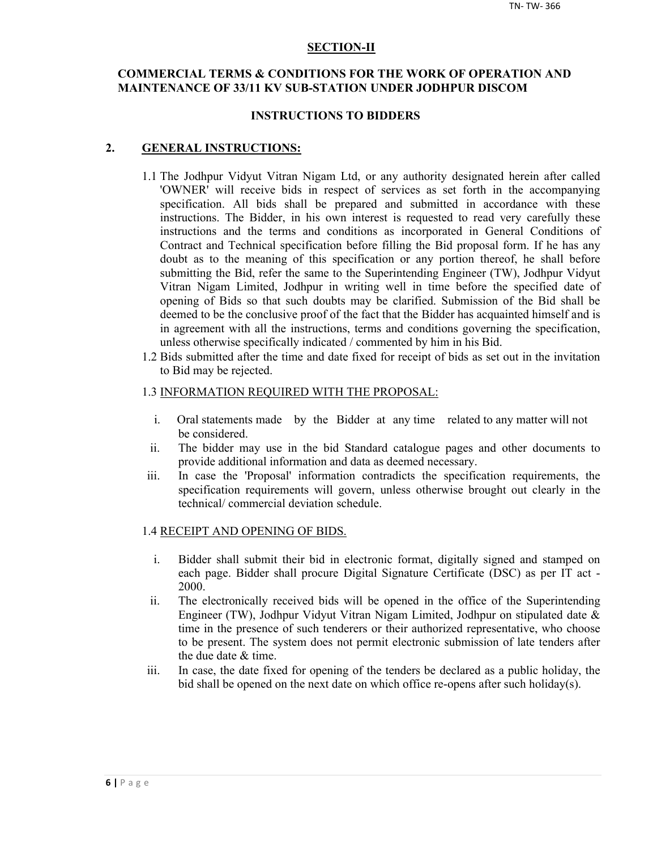#### **SECTION-II**

## **COMMERCIAL TERMS & CONDITIONS FOR THE WORK OF OPERATION AND MAINTENANCE OF 33/11 KV SUB-STATION UNDER JODHPUR DISCOM**

#### **INSTRUCTIONS TO BIDDERS**

#### **2. GENERAL INSTRUCTIONS:**

- 1.1 The Jodhpur Vidyut Vitran Nigam Ltd, or any authority designated herein after called 'OWNER' will receive bids in respect of services as set forth in the accompanying specification. All bids shall be prepared and submitted in accordance with these instructions. The Bidder, in his own interest is requested to read very carefully these instructions and the terms and conditions as incorporated in General Conditions of Contract and Technical specification before filling the Bid proposal form. If he has any doubt as to the meaning of this specification or any portion thereof, he shall before submitting the Bid, refer the same to the Superintending Engineer (TW), Jodhpur Vidyut Vitran Nigam Limited, Jodhpur in writing well in time before the specified date of opening of Bids so that such doubts may be clarified. Submission of the Bid shall be deemed to be the conclusive proof of the fact that the Bidder has acquainted himself and is in agreement with all the instructions, terms and conditions governing the specification, unless otherwise specifically indicated / commented by him in his Bid.
- 1.2 Bids submitted after the time and date fixed for receipt of bids as set out in the invitation to Bid may be rejected.

#### 1.3 INFORMATION REQUIRED WITH THE PROPOSAL:

- i. Oral statements made by the Bidder at any time related to any matter will not be considered.
- ii. The bidder may use in the bid Standard catalogue pages and other documents to provide additional information and data as deemed necessary.
- iii. In case the 'Proposal' information contradicts the specification requirements, the specification requirements will govern, unless otherwise brought out clearly in the technical/ commercial deviation schedule.

#### 1.4 RECEIPT AND OPENING OF BIDS.

- i. Bidder shall submit their bid in electronic format, digitally signed and stamped on each page. Bidder shall procure Digital Signature Certificate (DSC) as per IT act - 2000.
- ii. The electronically received bids will be opened in the office of the Superintending Engineer (TW), Jodhpur Vidyut Vitran Nigam Limited, Jodhpur on stipulated date & time in the presence of such tenderers or their authorized representative, who choose to be present. The system does not permit electronic submission of late tenders after the due date & time.
- iii. In case, the date fixed for opening of the tenders be declared as a public holiday, the bid shall be opened on the next date on which office re-opens after such holiday(s).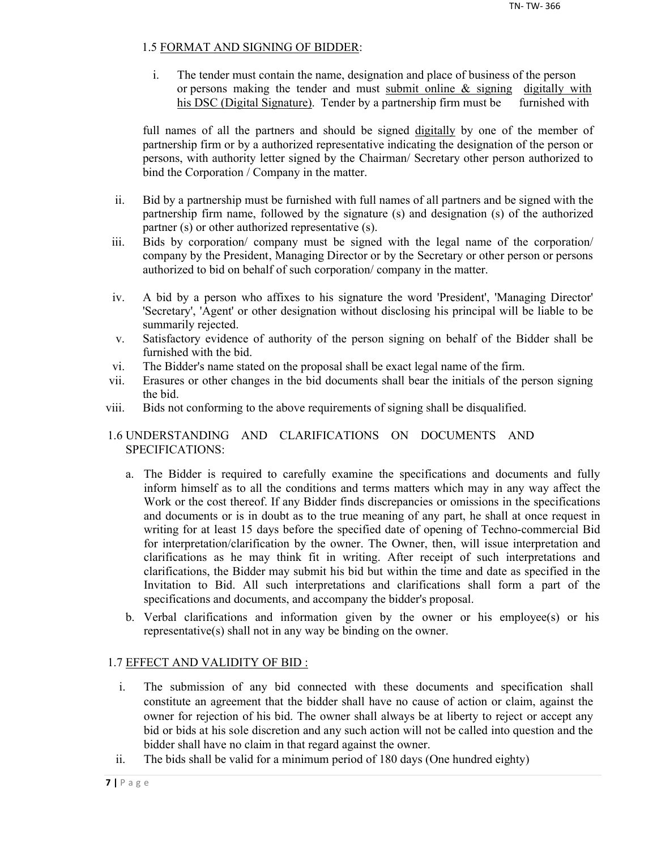## 1.5 FORMAT AND SIGNING OF BIDDER:

i. The tender must contain the name, designation and place of business of the person or persons making the tender and must submit online & signing digitally with his DSC (Digital Signature). Tender by a partnership firm must be furnished with

full names of all the partners and should be signed digitally by one of the member of partnership firm or by a authorized representative indicating the designation of the person or persons, with authority letter signed by the Chairman/ Secretary other person authorized to bind the Corporation / Company in the matter.

- ii. Bid by a partnership must be furnished with full names of all partners and be signed with the partnership firm name, followed by the signature (s) and designation (s) of the authorized partner (s) or other authorized representative (s).
- iii. Bids by corporation/ company must be signed with the legal name of the corporation/ company by the President, Managing Director or by the Secretary or other person or persons authorized to bid on behalf of such corporation/ company in the matter.
- iv. A bid by a person who affixes to his signature the word 'President', 'Managing Director' 'Secretary', 'Agent' or other designation without disclosing his principal will be liable to be summarily rejected.
- v. Satisfactory evidence of authority of the person signing on behalf of the Bidder shall be furnished with the bid.
- vi. The Bidder's name stated on the proposal shall be exact legal name of the firm.
- vii. Erasures or other changes in the bid documents shall bear the initials of the person signing the bid.
- viii. Bids not conforming to the above requirements of signing shall be disqualified.

## 1.6 UNDERSTANDING AND CLARIFICATIONS ON DOCUMENTS AND SPECIFICATIONS:

- a. The Bidder is required to carefully examine the specifications and documents and fully inform himself as to all the conditions and terms matters which may in any way affect the Work or the cost thereof. If any Bidder finds discrepancies or omissions in the specifications and documents or is in doubt as to the true meaning of any part, he shall at once request in writing for at least 15 days before the specified date of opening of Techno-commercial Bid for interpretation/clarification by the owner. The Owner, then, will issue interpretation and clarifications as he may think fit in writing. After receipt of such interpretations and clarifications, the Bidder may submit his bid but within the time and date as specified in the Invitation to Bid. All such interpretations and clarifications shall form a part of the specifications and documents, and accompany the bidder's proposal.
- b. Verbal clarifications and information given by the owner or his employee(s) or his representative(s) shall not in any way be binding on the owner.

## 1.7 EFFECT AND VALIDITY OF BID :

- i. The submission of any bid connected with these documents and specification shall constitute an agreement that the bidder shall have no cause of action or claim, against the owner for rejection of his bid. The owner shall always be at liberty to reject or accept any bid or bids at his sole discretion and any such action will not be called into question and the bidder shall have no claim in that regard against the owner.
- ii. The bids shall be valid for a minimum period of 180 days (One hundred eighty)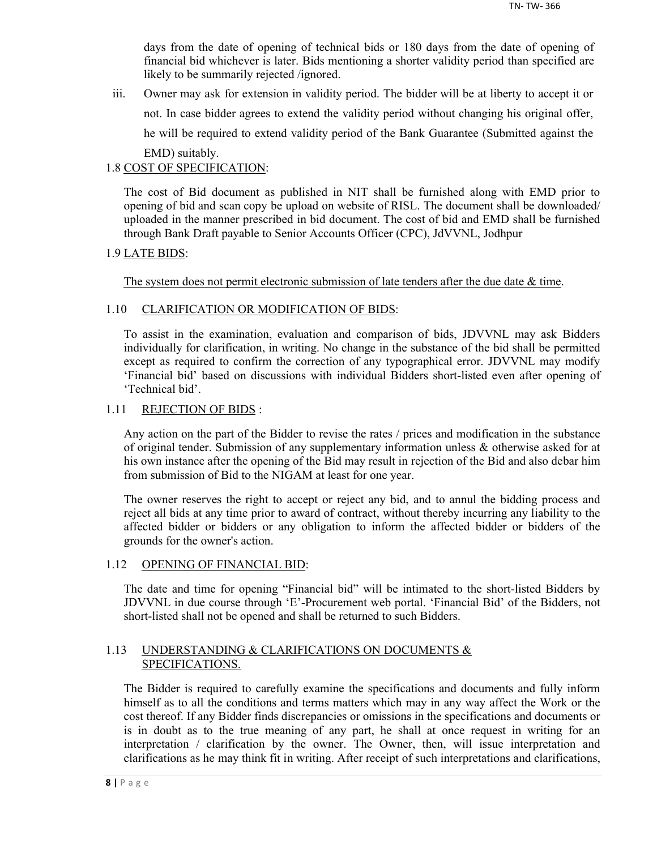days from the date of opening of technical bids or 180 days from the date of opening of financial bid whichever is later. Bids mentioning a shorter validity period than specified are likely to be summarily rejected /ignored.

iii. Owner may ask for extension in validity period. The bidder will be at liberty to accept it or not. In case bidder agrees to extend the validity period without changing his original offer, he will be required to extend validity period of the Bank Guarantee (Submitted against the EMD) suitably.

## 1.8 COST OF SPECIFICATION:

The cost of Bid document as published in NIT shall be furnished along with EMD prior to opening of bid and scan copy be upload on website of RISL. The document shall be downloaded/ uploaded in the manner prescribed in bid document. The cost of bid and EMD shall be furnished through Bank Draft payable to Senior Accounts Officer (CPC), JdVVNL, Jodhpur

## 1.9 LATE BIDS:

The system does not permit electronic submission of late tenders after the due date  $\&$  time.

## 1.10 CLARIFICATION OR MODIFICATION OF BIDS:

To assist in the examination, evaluation and comparison of bids, JDVVNL may ask Bidders individually for clarification, in writing. No change in the substance of the bid shall be permitted except as required to confirm the correction of any typographical error. JDVVNL may modify 'Financial bid' based on discussions with individual Bidders short-listed even after opening of 'Technical bid'.

## 1.11 REJECTION OF BIDS :

Any action on the part of the Bidder to revise the rates / prices and modification in the substance of original tender. Submission of any supplementary information unless & otherwise asked for at his own instance after the opening of the Bid may result in rejection of the Bid and also debar him from submission of Bid to the NIGAM at least for one year.

The owner reserves the right to accept or reject any bid, and to annul the bidding process and reject all bids at any time prior to award of contract, without thereby incurring any liability to the affected bidder or bidders or any obligation to inform the affected bidder or bidders of the grounds for the owner's action.

#### 1.12 OPENING OF FINANCIAL BID:

The date and time for opening "Financial bid" will be intimated to the short-listed Bidders by JDVVNL in due course through 'E'-Procurement web portal. 'Financial Bid' of the Bidders, not short-listed shall not be opened and shall be returned to such Bidders.

## 1.13 UNDERSTANDING & CLARIFICATIONS ON DOCUMENTS & SPECIFICATIONS.

The Bidder is required to carefully examine the specifications and documents and fully inform himself as to all the conditions and terms matters which may in any way affect the Work or the cost thereof. If any Bidder finds discrepancies or omissions in the specifications and documents or is in doubt as to the true meaning of any part, he shall at once request in writing for an interpretation / clarification by the owner. The Owner, then, will issue interpretation and clarifications as he may think fit in writing. After receipt of such interpretations and clarifications,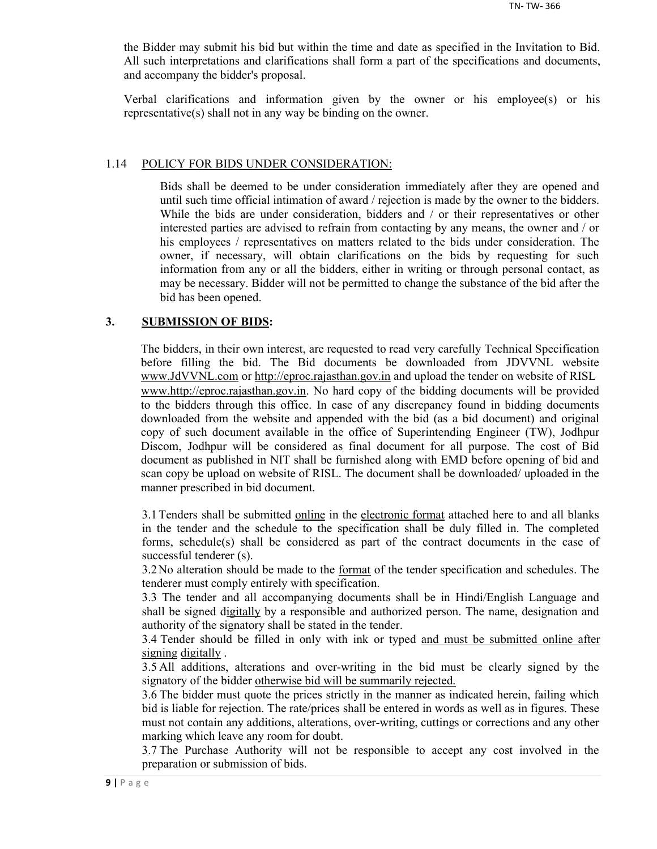the Bidder may submit his bid but within the time and date as specified in the Invitation to Bid. All such interpretations and clarifications shall form a part of the specifications and documents, and accompany the bidder's proposal.

Verbal clarifications and information given by the owner or his employee(s) or his representative(s) shall not in any way be binding on the owner.

#### 1.14 POLICY FOR BIDS UNDER CONSIDERATION:

Bids shall be deemed to be under consideration immediately after they are opened and until such time official intimation of award / rejection is made by the owner to the bidders. While the bids are under consideration, bidders and / or their representatives or other interested parties are advised to refrain from contacting by any means, the owner and / or his employees / representatives on matters related to the bids under consideration. The owner, if necessary, will obtain clarifications on the bids by requesting for such information from any or all the bidders, either in writing or through personal contact, as may be necessary. Bidder will not be permitted to change the substance of the bid after the bid has been opened.

#### **3. SUBMISSION OF BIDS:**

The bidders, in their own interest, are requested to read very carefully Technical Specification before filling the bid. The Bid documents be downloaded from JDVVNL website www.JdVVNL.com or http://eproc.rajasthan.gov.in and upload the tender on website of RISL www.http://eproc.rajasthan.gov.in. No hard copy of the bidding documents will be provided to the bidders through this office. In case of any discrepancy found in bidding documents downloaded from the website and appended with the bid (as a bid document) and original copy of such document available in the office of Superintending Engineer (TW), Jodhpur Discom, Jodhpur will be considered as final document for all purpose. The cost of Bid document as published in NIT shall be furnished along with EMD before opening of bid and scan copy be upload on website of RISL. The document shall be downloaded/ uploaded in the manner prescribed in bid document.

3.1 Tenders shall be submitted online in the electronic format attached here to and all blanks in the tender and the schedule to the specification shall be duly filled in. The completed forms, schedule(s) shall be considered as part of the contract documents in the case of successful tenderer (s).

3.2 No alteration should be made to the format of the tender specification and schedules. The tenderer must comply entirely with specification.

3.3 The tender and all accompanying documents shall be in Hindi/English Language and shall be signed digitally by a responsible and authorized person. The name, designation and authority of the signatory shall be stated in the tender.

3.4 Tender should be filled in only with ink or typed and must be submitted online after signing digitally .

3.5 All additions, alterations and over-writing in the bid must be clearly signed by the signatory of the bidder otherwise bid will be summarily rejected.

3.6 The bidder must quote the prices strictly in the manner as indicated herein, failing which bid is liable for rejection. The rate/prices shall be entered in words as well as in figures. These must not contain any additions, alterations, over-writing, cuttings or corrections and any other marking which leave any room for doubt.

3.7 The Purchase Authority will not be responsible to accept any cost involved in the preparation or submission of bids.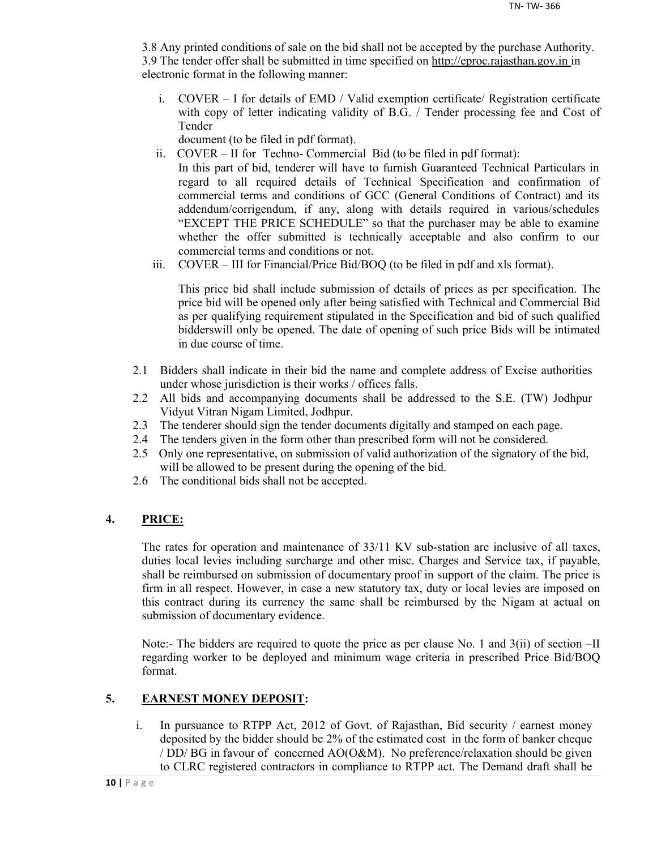3.8 Any printed conditions of sale on the bid shall not be accepted by the purchase Authority. 3.9 The tender offer shall be submitted in time specified on http://eproc.rajasthan.gov.in in electronic format in the following manner:

i. COVER – I for details of EMD / Valid exemption certificate/ Registration certificate with copy of letter indicating validity of B.G. / Tender processing fee and Cost of Tender

document (to be filed in pdf format).

- ii. COVER II for Techno- Commercial Bid (to be filed in pdf format): In this part of bid, tenderer will have to furnish Guaranteed Technical Particulars in regard to all required details of Technical Specification and confirmation of commercial terms and conditions of GCC (General Conditions of Contract) and its addendum/corrigendum, if any, along with details required in various/schedules "EXCEPT THE PRICE SCHEDULE" so that the purchaser may be able to examine whether the offer submitted is technically acceptable and also confirm to our commercial terms and conditions or not.
- iii. COVER III for Financial/Price Bid/BOQ (to be filed in pdf and xls format).

This price bid shall include submission of details of prices as per specification. The price bid will be opened only after being satisfied with Technical and Commercial Bid as per qualifying requirement stipulated in the Specification and bid of such qualified bidderswill only be opened. The date of opening of such price Bids will be intimated in due course of time.

- 2.1 Bidders shall indicate in their bid the name and complete address of Excise authorities under whose jurisdiction is their works / offices falls.
- 2.2 All bids and accompanying documents shall be addressed to the S.E. (TW) Jodhpur Vidyut Vitran Nigam Limited, Jodhpur.
- 2.3 The tenderer should sign the tender documents digitally and stamped on each page.
- 2.4 The tenders given in the form other than prescribed form will not be considered.
- 2.5 Only one representative, on submission of valid authorization of the signatory of the bid, will be allowed to be present during the opening of the bid.
- 2.6 The conditional bids shall not be accepted.

## **4. PRICE:**

The rates for operation and maintenance of 33/11 KV sub-station are inclusive of all taxes, duties local levies including surcharge and other misc. Charges and Service tax, if payable, shall be reimbursed on submission of documentary proof in support of the claim. The price is firm in all respect. However, in case a new statutory tax, duty or local levies are imposed on this contract during its currency the same shall be reimbursed by the Nigam at actual on submission of documentary evidence.

Note:- The bidders are required to quote the price as per clause No. 1 and 3(ii) of section –II regarding worker to be deployed and minimum wage criteria in prescribed Price Bid/BOQ format.

## **5. EARNEST MONEY DEPOSIT:**

i. In pursuance to RTPP Act, 2012 of Govt. of Rajasthan, Bid security / earnest money deposited by the bidder should be 2% of the estimated cost in the form of banker cheque / DD/ BG in favour of concerned AO(O&M). No preference/relaxation should be given to CLRC registered contractors in compliance to RTPP act. The Demand draft shall be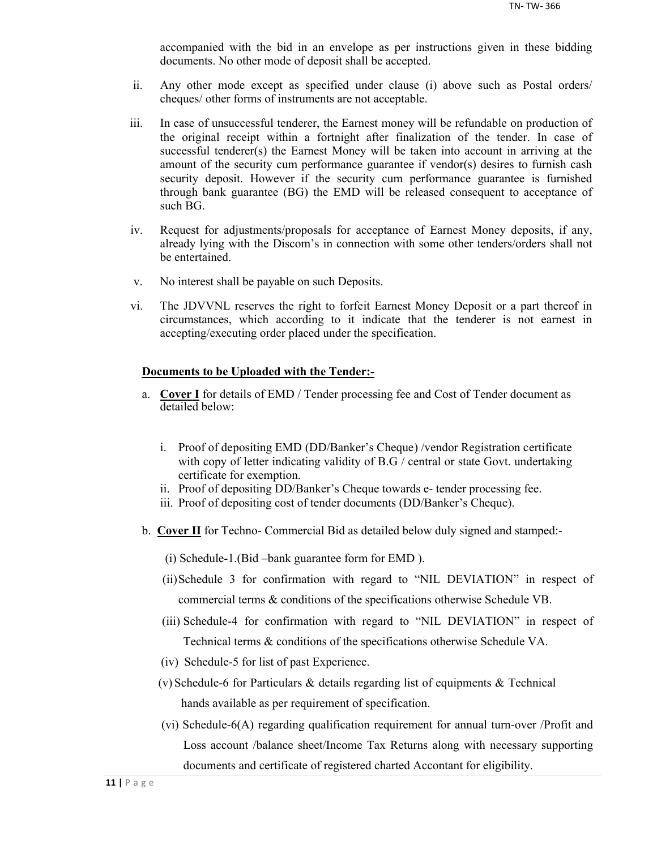accompanied with the bid in an envelope as per instructions given in these bidding documents. No other mode of deposit shall be accepted.

- ii. Any other mode except as specified under clause (i) above such as Postal orders/ cheques/ other forms of instruments are not acceptable.
- iii. In case of unsuccessful tenderer, the Earnest money will be refundable on production of the original receipt within a fortnight after finalization of the tender. In case of successful tenderer(s) the Earnest Money will be taken into account in arriving at the amount of the security cum performance guarantee if vendor(s) desires to furnish cash security deposit. However if the security cum performance guarantee is furnished through bank guarantee (BG) the EMD will be released consequent to acceptance of such BG.
- iv. Request for adjustments/proposals for acceptance of Earnest Money deposits, if any, already lying with the Discom's in connection with some other tenders/orders shall not be entertained.
- v. No interest shall be payable on such Deposits.
- vi. The JDVVNL reserves the right to forfeit Earnest Money Deposit or a part thereof in circumstances, which according to it indicate that the tenderer is not earnest in accepting/executing order placed under the specification.

#### **Documents to be Uploaded with the Tender:-**

- a. **Cover I** for details of EMD / Tender processing fee and Cost of Tender document as detailed below:
	- i. Proof of depositing EMD (DD/Banker's Cheque) /vendor Registration certificate with copy of letter indicating validity of B.G / central or state Govt. undertaking certificate for exemption.
	- ii. Proof of depositing DD/Banker's Cheque towards e- tender processing fee.
	- iii. Proof of depositing cost of tender documents (DD/Banker's Cheque).
- b. **Cover II** for Techno- Commercial Bid as detailed below duly signed and stamped:-
	- (i) Schedule-1.(Bid –bank guarantee form for EMD ).
	- (ii)Schedule 3 for confirmation with regard to "NIL DEVIATION" in respect of commercial terms & conditions of the specifications otherwise Schedule VB.
	- (iii) Schedule-4 for confirmation with regard to "NIL DEVIATION" in respect of Technical terms & conditions of the specifications otherwise Schedule VA.
	- (iv) Schedule-5 for list of past Experience.
	- (v) Schedule-6 for Particulars & details regarding list of equipments & Technical hands available as per requirement of specification.
	- (vi) Schedule-6(A) regarding qualification requirement for annual turn-over /Profit and Loss account /balance sheet/Income Tax Returns along with necessary supporting documents and certificate of registered charted Accontant for eligibility.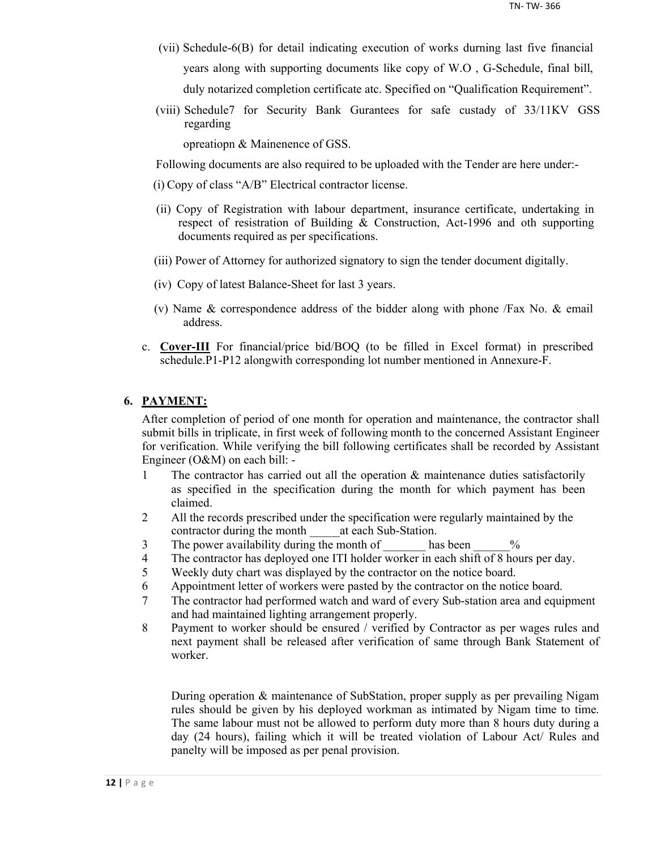- (vii) Schedule-6(B) for detail indicating execution of works durning last five financial years along with supporting documents like copy of W.O , G-Schedule, final bill, duly notarized completion certificate atc. Specified on "Qualification Requirement".
- (viii) Schedule7 for Security Bank Gurantees for safe custady of 33/11KV GSS regarding

opreatiopn & Mainenence of GSS.

Following documents are also required to be uploaded with the Tender are here under:-

- (i) Copy of class "A/B" Electrical contractor license.
- (ii) Copy of Registration with labour department, insurance certificate, undertaking in respect of resistration of Building & Construction, Act-1996 and oth supporting documents required as per specifications.
- (iii) Power of Attorney for authorized signatory to sign the tender document digitally.
- (iv) Copy of latest Balance-Sheet for last 3 years.
- (v) Name & correspondence address of the bidder along with phone /Fax No. & email address.
- c. **Cover-III** For financial/price bid/BOQ (to be filled in Excel format) in prescribed schedule.P1-P12 alongwith corresponding lot number mentioned in Annexure-F.

#### **6. PAYMENT:**

After completion of period of one month for operation and maintenance, the contractor shall submit bills in triplicate, in first week of following month to the concerned Assistant Engineer for verification. While verifying the bill following certificates shall be recorded by Assistant Engineer (O&M) on each bill: -

- 1 The contractor has carried out all the operation & maintenance duties satisfactorily as specified in the specification during the month for which payment has been claimed.
- 2 All the records prescribed under the specification were regularly maintained by the contractor during the month at each Sub-Station.
- 3 The power availability during the month of has been  $\%$
- 4 The contractor has deployed one ITI holder worker in each shift of 8 hours per day.
- 5 Weekly duty chart was displayed by the contractor on the notice board.
- 6 Appointment letter of workers were pasted by the contractor on the notice board.
- 7 The contractor had performed watch and ward of every Sub-station area and equipment and had maintained lighting arrangement properly.
- 8 Payment to worker should be ensured / verified by Contractor as per wages rules and next payment shall be released after verification of same through Bank Statement of worker.

During operation & maintenance of SubStation, proper supply as per prevailing Nigam rules should be given by his deployed workman as intimated by Nigam time to time. The same labour must not be allowed to perform duty more than 8 hours duty during a day (24 hours), failing which it will be treated violation of Labour Act/ Rules and panelty will be imposed as per penal provision.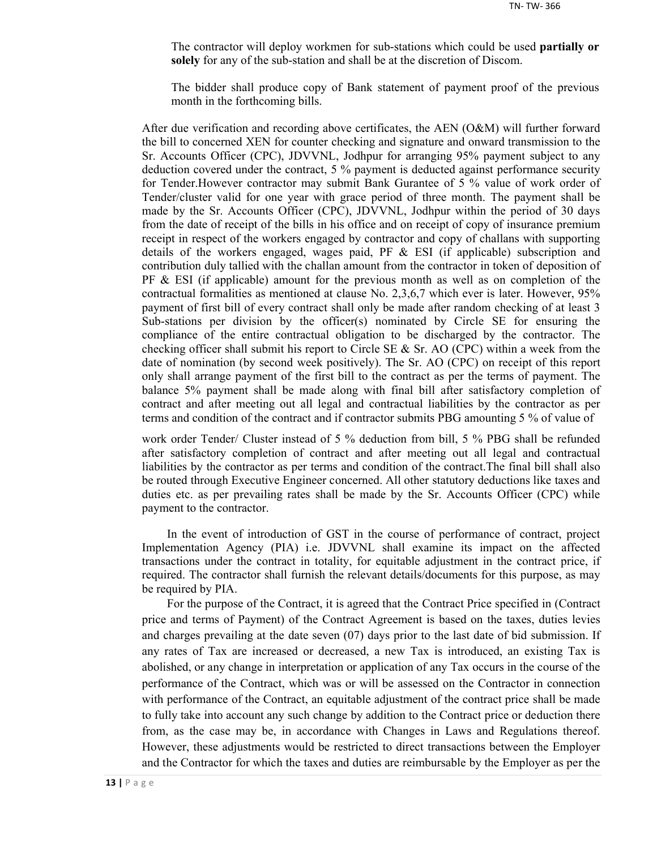The contractor will deploy workmen for sub-stations which could be used **partially or solely** for any of the sub-station and shall be at the discretion of Discom.

The bidder shall produce copy of Bank statement of payment proof of the previous month in the forthcoming bills.

After due verification and recording above certificates, the AEN (O&M) will further forward the bill to concerned XEN for counter checking and signature and onward transmission to the Sr. Accounts Officer (CPC), JDVVNL, Jodhpur for arranging 95% payment subject to any deduction covered under the contract, 5 % payment is deducted against performance security for Tender.However contractor may submit Bank Gurantee of 5 % value of work order of Tender/cluster valid for one year with grace period of three month. The payment shall be made by the Sr. Accounts Officer (CPC), JDVVNL, Jodhpur within the period of 30 days from the date of receipt of the bills in his office and on receipt of copy of insurance premium receipt in respect of the workers engaged by contractor and copy of challans with supporting details of the workers engaged, wages paid, PF  $\&$  ESI (if applicable) subscription and contribution duly tallied with the challan amount from the contractor in token of deposition of  $PF \& ESI$  (if applicable) amount for the previous month as well as on completion of the contractual formalities as mentioned at clause No. 2,3,6,7 which ever is later. However, 95% payment of first bill of every contract shall only be made after random checking of at least 3 Sub-stations per division by the officer(s) nominated by Circle SE for ensuring the compliance of the entire contractual obligation to be discharged by the contractor. The checking officer shall submit his report to Circle SE  $\&$  Sr. AO (CPC) within a week from the date of nomination (by second week positively). The Sr. AO (CPC) on receipt of this report only shall arrange payment of the first bill to the contract as per the terms of payment. The balance 5% payment shall be made along with final bill after satisfactory completion of contract and after meeting out all legal and contractual liabilities by the contractor as per terms and condition of the contract and if contractor submits PBG amounting 5 % of value of

work order Tender/ Cluster instead of 5 % deduction from bill, 5 % PBG shall be refunded after satisfactory completion of contract and after meeting out all legal and contractual liabilities by the contractor as per terms and condition of the contract.The final bill shall also be routed through Executive Engineer concerned. All other statutory deductions like taxes and duties etc. as per prevailing rates shall be made by the Sr. Accounts Officer (CPC) while payment to the contractor.

In the event of introduction of GST in the course of performance of contract, project Implementation Agency (PIA) i.e. JDVVNL shall examine its impact on the affected transactions under the contract in totality, for equitable adjustment in the contract price, if required. The contractor shall furnish the relevant details/documents for this purpose, as may be required by PIA.

For the purpose of the Contract, it is agreed that the Contract Price specified in (Contract price and terms of Payment) of the Contract Agreement is based on the taxes, duties levies and charges prevailing at the date seven (07) days prior to the last date of bid submission. If any rates of Tax are increased or decreased, a new Tax is introduced, an existing Tax is abolished, or any change in interpretation or application of any Tax occurs in the course of the performance of the Contract, which was or will be assessed on the Contractor in connection with performance of the Contract, an equitable adjustment of the contract price shall be made to fully take into account any such change by addition to the Contract price or deduction there from, as the case may be, in accordance with Changes in Laws and Regulations thereof. However, these adjustments would be restricted to direct transactions between the Employer and the Contractor for which the taxes and duties are reimbursable by the Employer as per the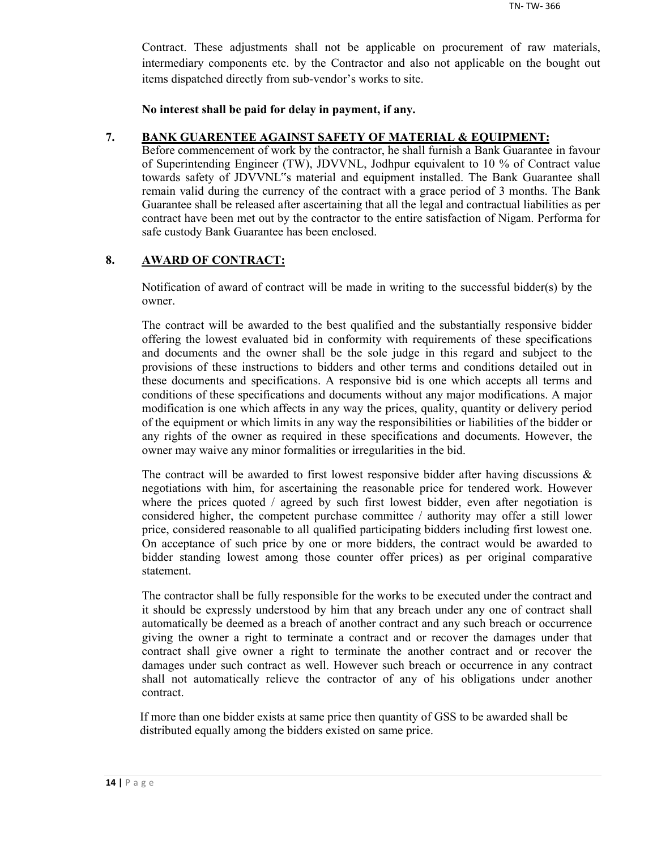Contract. These adjustments shall not be applicable on procurement of raw materials, intermediary components etc. by the Contractor and also not applicable on the bought out items dispatched directly from sub-vendor's works to site.

**No interest shall be paid for delay in payment, if any.**

#### **7. BANK GUARENTEE AGAINST SAFETY OF MATERIAL & EQUIPMENT:**

Before commencement of work by the contractor, he shall furnish a Bank Guarantee in favour of Superintending Engineer (TW), JDVVNL, Jodhpur equivalent to 10 % of Contract value towards safety of JDVVNL"s material and equipment installed. The Bank Guarantee shall remain valid during the currency of the contract with a grace period of 3 months. The Bank Guarantee shall be released after ascertaining that all the legal and contractual liabilities as per contract have been met out by the contractor to the entire satisfaction of Nigam. Performa for safe custody Bank Guarantee has been enclosed.

## **8. AWARD OF CONTRACT:**

Notification of award of contract will be made in writing to the successful bidder(s) by the owner.

The contract will be awarded to the best qualified and the substantially responsive bidder offering the lowest evaluated bid in conformity with requirements of these specifications and documents and the owner shall be the sole judge in this regard and subject to the provisions of these instructions to bidders and other terms and conditions detailed out in these documents and specifications. A responsive bid is one which accepts all terms and conditions of these specifications and documents without any major modifications. A major modification is one which affects in any way the prices, quality, quantity or delivery period of the equipment or which limits in any way the responsibilities or liabilities of the bidder or any rights of the owner as required in these specifications and documents. However, the owner may waive any minor formalities or irregularities in the bid.

The contract will be awarded to first lowest responsive bidder after having discussions  $\&$ negotiations with him, for ascertaining the reasonable price for tendered work. However where the prices quoted / agreed by such first lowest bidder, even after negotiation is considered higher, the competent purchase committee / authority may offer a still lower price, considered reasonable to all qualified participating bidders including first lowest one. On acceptance of such price by one or more bidders, the contract would be awarded to bidder standing lowest among those counter offer prices) as per original comparative statement.

The contractor shall be fully responsible for the works to be executed under the contract and it should be expressly understood by him that any breach under any one of contract shall automatically be deemed as a breach of another contract and any such breach or occurrence giving the owner a right to terminate a contract and or recover the damages under that contract shall give owner a right to terminate the another contract and or recover the damages under such contract as well. However such breach or occurrence in any contract shall not automatically relieve the contractor of any of his obligations under another contract.

If more than one bidder exists at same price then quantity of GSS to be awarded shall be distributed equally among the bidders existed on same price.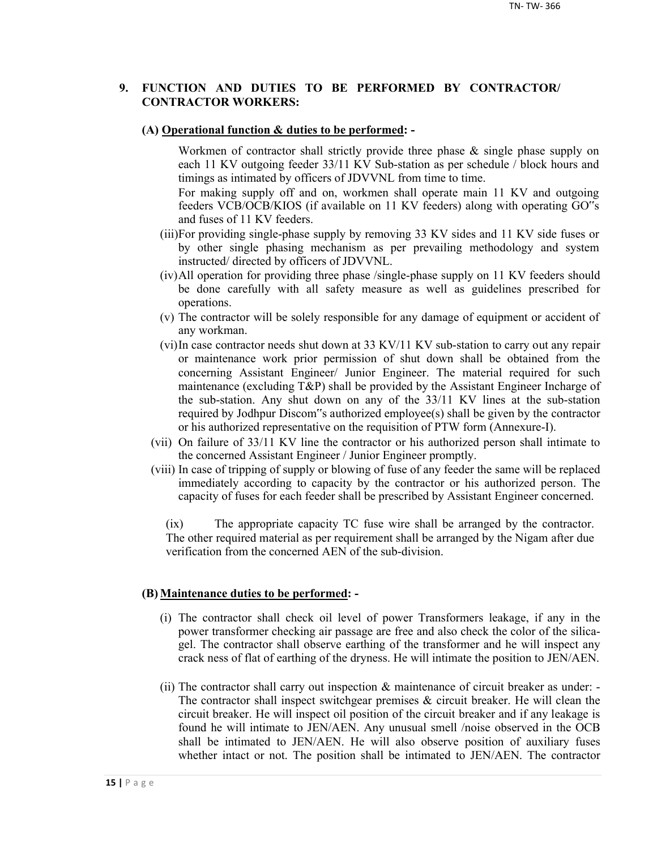#### **9. FUNCTION AND DUTIES TO BE PERFORMED BY CONTRACTOR/ CONTRACTOR WORKERS:**

#### **(A) Operational function & duties to be performed: -**

Workmen of contractor shall strictly provide three phase & single phase supply on each 11 KV outgoing feeder 33/11 KV Sub-station as per schedule / block hours and timings as intimated by officers of JDVVNL from time to time.

For making supply off and on, workmen shall operate main 11 KV and outgoing feeders VCB/OCB/KIOS (if available on 11 KV feeders) along with operating GO"s and fuses of 11 KV feeders.

- (iii)For providing single-phase supply by removing 33 KV sides and 11 KV side fuses or by other single phasing mechanism as per prevailing methodology and system instructed/ directed by officers of JDVVNL.
- (iv)All operation for providing three phase /single-phase supply on 11 KV feeders should be done carefully with all safety measure as well as guidelines prescribed for operations.
- (v) The contractor will be solely responsible for any damage of equipment or accident of any workman.
- (vi)In case contractor needs shut down at 33 KV/11 KV sub-station to carry out any repair or maintenance work prior permission of shut down shall be obtained from the concerning Assistant Engineer/ Junior Engineer. The material required for such maintenance (excluding T&P) shall be provided by the Assistant Engineer Incharge of the sub-station. Any shut down on any of the 33/11 KV lines at the sub-station required by Jodhpur Discom"s authorized employee(s) shall be given by the contractor or his authorized representative on the requisition of PTW form (Annexure-I).
- (vii) On failure of 33/11 KV line the contractor or his authorized person shall intimate to the concerned Assistant Engineer / Junior Engineer promptly.
- (viii) In case of tripping of supply or blowing of fuse of any feeder the same will be replaced immediately according to capacity by the contractor or his authorized person. The capacity of fuses for each feeder shall be prescribed by Assistant Engineer concerned.

(ix) The appropriate capacity TC fuse wire shall be arranged by the contractor. The other required material as per requirement shall be arranged by the Nigam after due verification from the concerned AEN of the sub-division.

#### **(B) Maintenance duties to be performed: -**

- (i) The contractor shall check oil level of power Transformers leakage, if any in the power transformer checking air passage are free and also check the color of the silicagel. The contractor shall observe earthing of the transformer and he will inspect any crack ness of flat of earthing of the dryness. He will intimate the position to JEN/AEN.
- (ii) The contractor shall carry out inspection & maintenance of circuit breaker as under: The contractor shall inspect switchgear premises  $\&$  circuit breaker. He will clean the circuit breaker. He will inspect oil position of the circuit breaker and if any leakage is found he will intimate to JEN/AEN. Any unusual smell /noise observed in the OCB shall be intimated to JEN/AEN. He will also observe position of auxiliary fuses whether intact or not. The position shall be intimated to JEN/AEN. The contractor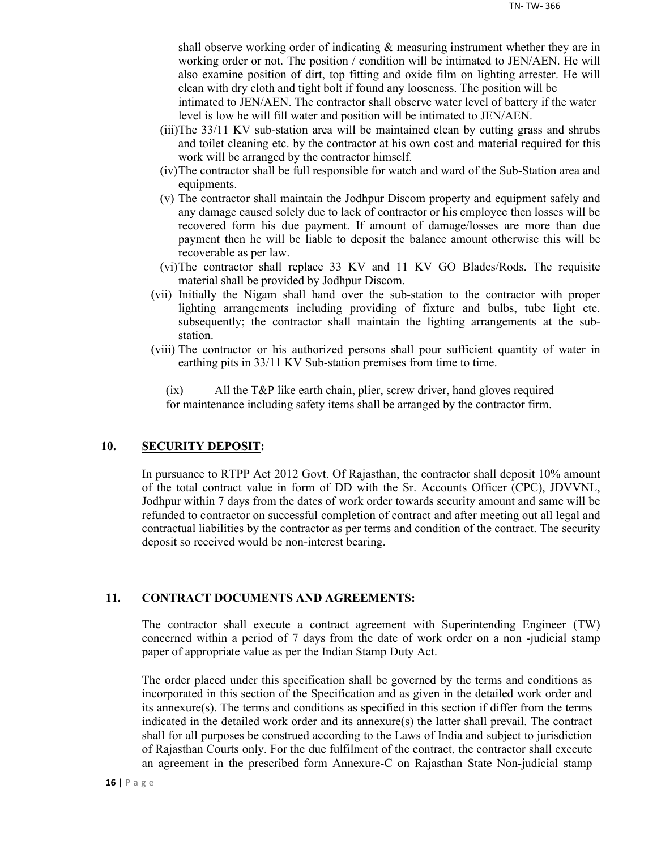shall observe working order of indicating & measuring instrument whether they are in working order or not. The position / condition will be intimated to JEN/AEN. He will also examine position of dirt, top fitting and oxide film on lighting arrester. He will clean with dry cloth and tight bolt if found any looseness. The position will be

intimated to JEN/AEN. The contractor shall observe water level of battery if the water level is low he will fill water and position will be intimated to JEN/AEN.

- (iii)The 33/11 KV sub-station area will be maintained clean by cutting grass and shrubs and toilet cleaning etc. by the contractor at his own cost and material required for this work will be arranged by the contractor himself.
- (iv)The contractor shall be full responsible for watch and ward of the Sub-Station area and equipments.
- (v) The contractor shall maintain the Jodhpur Discom property and equipment safely and any damage caused solely due to lack of contractor or his employee then losses will be recovered form his due payment. If amount of damage/losses are more than due payment then he will be liable to deposit the balance amount otherwise this will be recoverable as per law.
- (vi)The contractor shall replace 33 KV and 11 KV GO Blades/Rods. The requisite material shall be provided by Jodhpur Discom.
- (vii) Initially the Nigam shall hand over the sub-station to the contractor with proper lighting arrangements including providing of fixture and bulbs, tube light etc. subsequently; the contractor shall maintain the lighting arrangements at the substation.
- (viii) The contractor or his authorized persons shall pour sufficient quantity of water in earthing pits in 33/11 KV Sub-station premises from time to time.

(ix) All the T&P like earth chain, plier, screw driver, hand gloves required for maintenance including safety items shall be arranged by the contractor firm.

#### **10. SECURITY DEPOSIT:**

In pursuance to RTPP Act 2012 Govt. Of Rajasthan, the contractor shall deposit 10% amount of the total contract value in form of DD with the Sr. Accounts Officer (CPC), JDVVNL, Jodhpur within 7 days from the dates of work order towards security amount and same will be refunded to contractor on successful completion of contract and after meeting out all legal and contractual liabilities by the contractor as per terms and condition of the contract. The security deposit so received would be non-interest bearing.

#### **11. CONTRACT DOCUMENTS AND AGREEMENTS:**

The contractor shall execute a contract agreement with Superintending Engineer (TW) concerned within a period of 7 days from the date of work order on a non -judicial stamp paper of appropriate value as per the Indian Stamp Duty Act.

The order placed under this specification shall be governed by the terms and conditions as incorporated in this section of the Specification and as given in the detailed work order and its annexure(s). The terms and conditions as specified in this section if differ from the terms indicated in the detailed work order and its annexure(s) the latter shall prevail. The contract shall for all purposes be construed according to the Laws of India and subject to jurisdiction of Rajasthan Courts only. For the due fulfilment of the contract, the contractor shall execute an agreement in the prescribed form Annexure-C on Rajasthan State Non-judicial stamp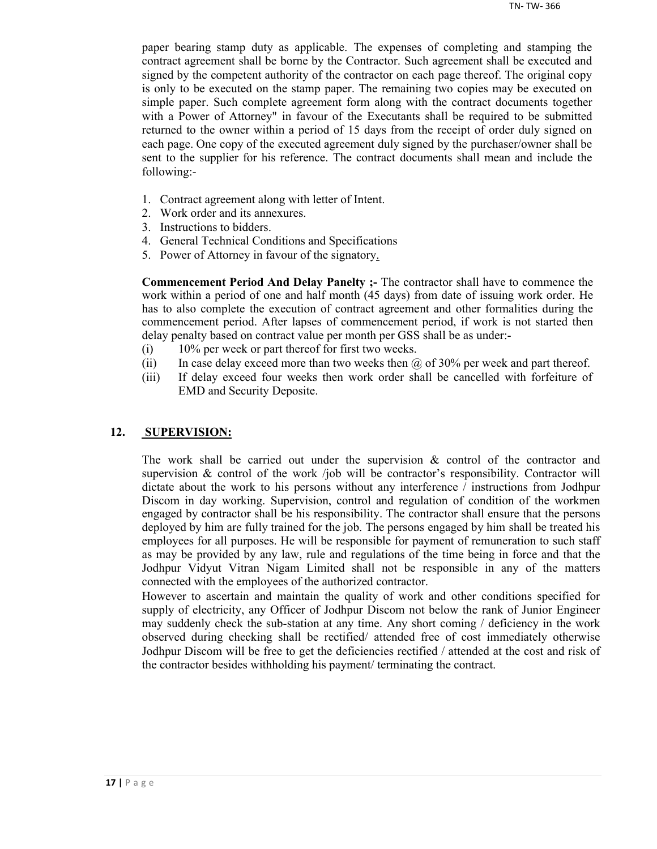paper bearing stamp duty as applicable. The expenses of completing and stamping the contract agreement shall be borne by the Contractor. Such agreement shall be executed and signed by the competent authority of the contractor on each page thereof. The original copy is only to be executed on the stamp paper. The remaining two copies may be executed on simple paper. Such complete agreement form along with the contract documents together with a Power of Attorney" in favour of the Executants shall be required to be submitted returned to the owner within a period of 15 days from the receipt of order duly signed on each page. One copy of the executed agreement duly signed by the purchaser/owner shall be sent to the supplier for his reference. The contract documents shall mean and include the following:-

- 1. Contract agreement along with letter of Intent.
- 2. Work order and its annexures.
- 3. Instructions to bidders.
- 4. General Technical Conditions and Specifications
- 5. Power of Attorney in favour of the signatory.

**Commencement Period And Delay Panelty ;-** The contractor shall have to commence the work within a period of one and half month (45 days) from date of issuing work order. He has to also complete the execution of contract agreement and other formalities during the commencement period. After lapses of commencement period, if work is not started then delay penalty based on contract value per month per GSS shall be as under:-

- (i) 10% per week or part thereof for first two weeks.
- (ii) In case delay exceed more than two weeks then  $\omega$  of 30% per week and part thereof.
- (iii) If delay exceed four weeks then work order shall be cancelled with forfeiture of EMD and Security Deposite.

#### **12. SUPERVISION:**

The work shall be carried out under the supervision  $\&$  control of the contractor and supervision  $\&$  control of the work /job will be contractor's responsibility. Contractor will dictate about the work to his persons without any interference / instructions from Jodhpur Discom in day working. Supervision, control and regulation of condition of the workmen engaged by contractor shall be his responsibility. The contractor shall ensure that the persons deployed by him are fully trained for the job. The persons engaged by him shall be treated his employees for all purposes. He will be responsible for payment of remuneration to such staff as may be provided by any law, rule and regulations of the time being in force and that the Jodhpur Vidyut Vitran Nigam Limited shall not be responsible in any of the matters connected with the employees of the authorized contractor.

However to ascertain and maintain the quality of work and other conditions specified for supply of electricity, any Officer of Jodhpur Discom not below the rank of Junior Engineer may suddenly check the sub-station at any time. Any short coming / deficiency in the work observed during checking shall be rectified/ attended free of cost immediately otherwise Jodhpur Discom will be free to get the deficiencies rectified / attended at the cost and risk of the contractor besides withholding his payment/ terminating the contract.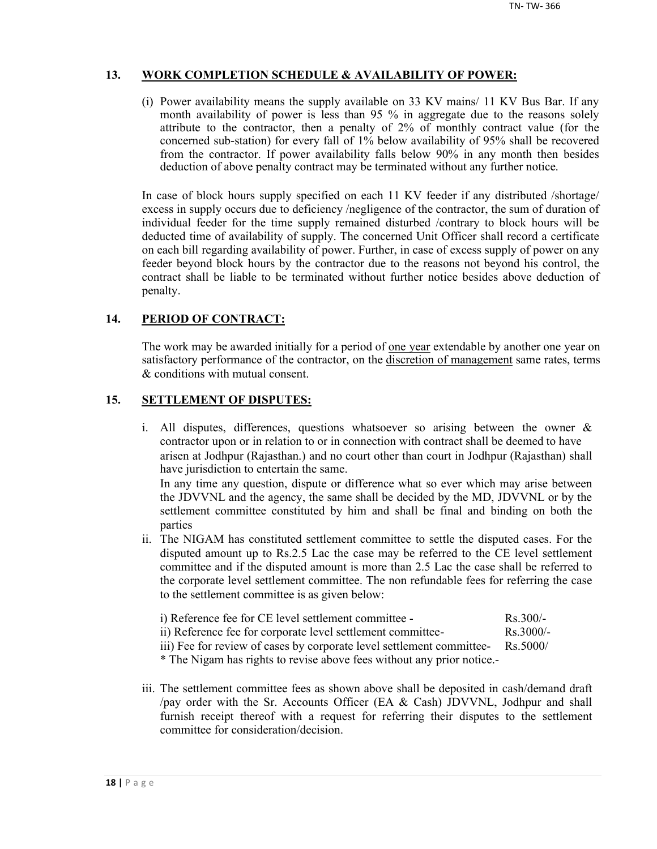## **13. WORK COMPLETION SCHEDULE & AVAILABILITY OF POWER:**

(i) Power availability means the supply available on 33 KV mains/ 11 KV Bus Bar. If any month availability of power is less than 95 % in aggregate due to the reasons solely attribute to the contractor, then a penalty of 2% of monthly contract value (for the concerned sub-station) for every fall of 1% below availability of 95% shall be recovered from the contractor. If power availability falls below 90% in any month then besides deduction of above penalty contract may be terminated without any further notice.

In case of block hours supply specified on each 11 KV feeder if any distributed /shortage/ excess in supply occurs due to deficiency /negligence of the contractor, the sum of duration of individual feeder for the time supply remained disturbed /contrary to block hours will be deducted time of availability of supply. The concerned Unit Officer shall record a certificate on each bill regarding availability of power. Further, in case of excess supply of power on any feeder beyond block hours by the contractor due to the reasons not beyond his control, the contract shall be liable to be terminated without further notice besides above deduction of penalty.

## **14. PERIOD OF CONTRACT:**

The work may be awarded initially for a period of <u>one year</u> extendable by another one year on satisfactory performance of the contractor, on the discretion of management same rates, terms & conditions with mutual consent.

## **15. SETTLEMENT OF DISPUTES:**

- i. All disputes, differences, questions whatsoever so arising between the owner & contractor upon or in relation to or in connection with contract shall be deemed to have arisen at Jodhpur (Rajasthan.) and no court other than court in Jodhpur (Rajasthan) shall have jurisdiction to entertain the same. In any time any question, dispute or difference what so ever which may arise between the JDVVNL and the agency, the same shall be decided by the MD, JDVVNL or by the settlement committee constituted by him and shall be final and binding on both the parties
- ii. The NIGAM has constituted settlement committee to settle the disputed cases. For the disputed amount up to Rs.2.5 Lac the case may be referred to the CE level settlement committee and if the disputed amount is more than 2.5 Lac the case shall be referred to the corporate level settlement committee. The non refundable fees for referring the case to the settlement committee is as given below:

| i) Reference fee for CE level settlement committee -        | $Rs$ 300/-  |
|-------------------------------------------------------------|-------------|
| ii) Reference fee for corporate level settlement committee- | $Rs$ 3000/- |

iii) Fee for review of cases by corporate level settlement committee- Rs.5000/

\* The Nigam has rights to revise above fees without any prior notice.-

iii. The settlement committee fees as shown above shall be deposited in cash/demand draft /pay order with the Sr. Accounts Officer (EA & Cash) JDVVNL, Jodhpur and shall furnish receipt thereof with a request for referring their disputes to the settlement committee for consideration/decision.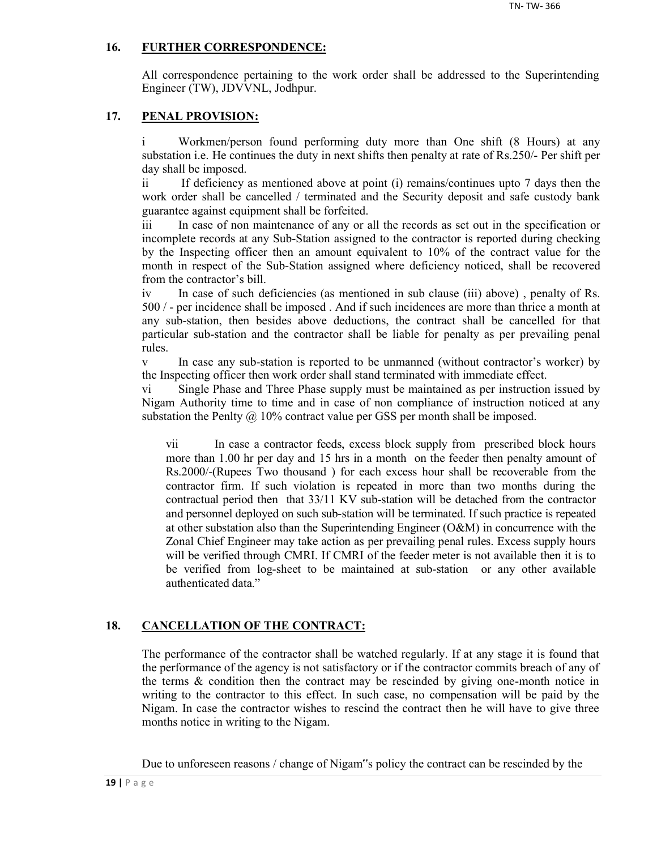## **16. FURTHER CORRESPONDENCE:**

All correspondence pertaining to the work order shall be addressed to the Superintending Engineer (TW), JDVVNL, Jodhpur.

## **17. PENAL PROVISION:**

i Workmen/person found performing duty more than One shift (8 Hours) at any substation i.e. He continues the duty in next shifts then penalty at rate of Rs.250/- Per shift per day shall be imposed.

ii If deficiency as mentioned above at point (i) remains/continues upto 7 days then the work order shall be cancelled / terminated and the Security deposit and safe custody bank guarantee against equipment shall be forfeited.

iii In case of non maintenance of any or all the records as set out in the specification or incomplete records at any Sub-Station assigned to the contractor is reported during checking by the Inspecting officer then an amount equivalent to 10% of the contract value for the month in respect of the Sub-Station assigned where deficiency noticed, shall be recovered from the contractor's bill.

iv In case of such deficiencies (as mentioned in sub clause (iii) above) , penalty of Rs. 500 / - per incidence shall be imposed . And if such incidences are more than thrice a month at any sub-station, then besides above deductions, the contract shall be cancelled for that particular sub-station and the contractor shall be liable for penalty as per prevailing penal rules.

v In case any sub-station is reported to be unmanned (without contractor's worker) by the Inspecting officer then work order shall stand terminated with immediate effect.

vi Single Phase and Three Phase supply must be maintained as per instruction issued by Nigam Authority time to time and in case of non compliance of instruction noticed at any substation the Penlty  $\omega$  10% contract value per GSS per month shall be imposed.

vii In case a contractor feeds, excess block supply from prescribed block hours more than 1.00 hr per day and 15 hrs in a month on the feeder then penalty amount of Rs.2000/-(Rupees Two thousand ) for each excess hour shall be recoverable from the contractor firm. If such violation is repeated in more than two months during the contractual period then that 33/11 KV sub-station will be detached from the contractor and personnel deployed on such sub-station will be terminated. If such practice is repeated at other substation also than the Superintending Engineer (O&M) in concurrence with the Zonal Chief Engineer may take action as per prevailing penal rules. Excess supply hours will be verified through CMRI. If CMRI of the feeder meter is not available then it is to be verified from log-sheet to be maintained at sub-station or any other available authenticated data."

## **18. CANCELLATION OF THE CONTRACT:**

The performance of the contractor shall be watched regularly. If at any stage it is found that the performance of the agency is not satisfactory or if the contractor commits breach of any of the terms  $\&$  condition then the contract may be rescinded by giving one-month notice in writing to the contractor to this effect. In such case, no compensation will be paid by the Nigam. In case the contractor wishes to rescind the contract then he will have to give three months notice in writing to the Nigam.

Due to unforeseen reasons / change of Nigam"s policy the contract can be rescinded by the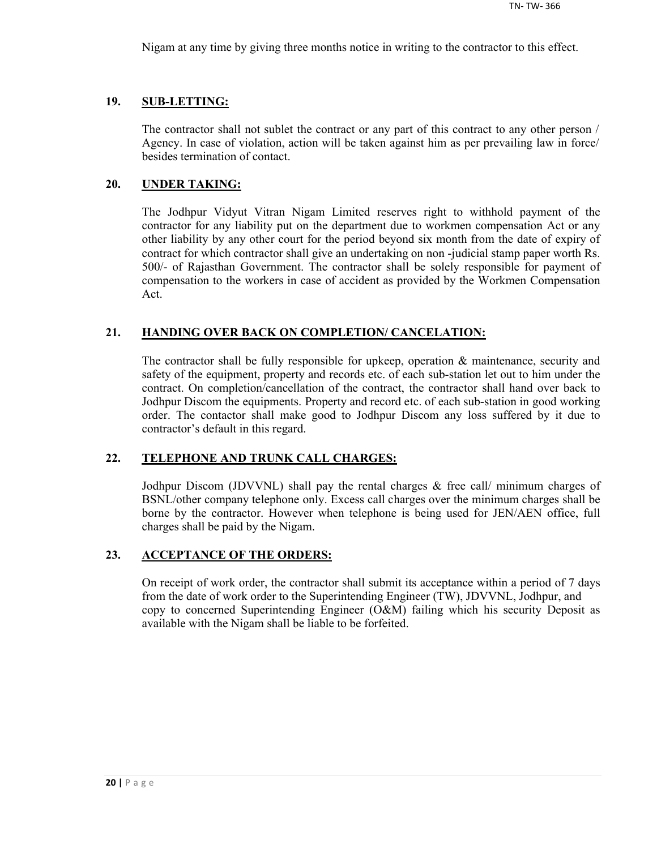Nigam at any time by giving three months notice in writing to the contractor to this effect.

## **19. SUB-LETTING:**

The contractor shall not sublet the contract or any part of this contract to any other person / Agency. In case of violation, action will be taken against him as per prevailing law in force/ besides termination of contact.

## **20. UNDER TAKING:**

The Jodhpur Vidyut Vitran Nigam Limited reserves right to withhold payment of the contractor for any liability put on the department due to workmen compensation Act or any other liability by any other court for the period beyond six month from the date of expiry of contract for which contractor shall give an undertaking on non -judicial stamp paper worth Rs. 500/- of Rajasthan Government. The contractor shall be solely responsible for payment of compensation to the workers in case of accident as provided by the Workmen Compensation Act.

## **21. HANDING OVER BACK ON COMPLETION/ CANCELATION:**

The contractor shall be fully responsible for upkeep, operation & maintenance, security and safety of the equipment, property and records etc. of each sub-station let out to him under the contract. On completion/cancellation of the contract, the contractor shall hand over back to Jodhpur Discom the equipments. Property and record etc. of each sub-station in good working order. The contactor shall make good to Jodhpur Discom any loss suffered by it due to contractor's default in this regard.

#### **22. TELEPHONE AND TRUNK CALL CHARGES:**

Jodhpur Discom (JDVVNL) shall pay the rental charges & free call/ minimum charges of BSNL/other company telephone only. Excess call charges over the minimum charges shall be borne by the contractor. However when telephone is being used for JEN/AEN office, full charges shall be paid by the Nigam.

## **23. ACCEPTANCE OF THE ORDERS:**

On receipt of work order, the contractor shall submit its acceptance within a period of 7 days from the date of work order to the Superintending Engineer (TW), JDVVNL, Jodhpur, and copy to concerned Superintending Engineer  $(O\&M)$  failing which his security Deposit as available with the Nigam shall be liable to be forfeited.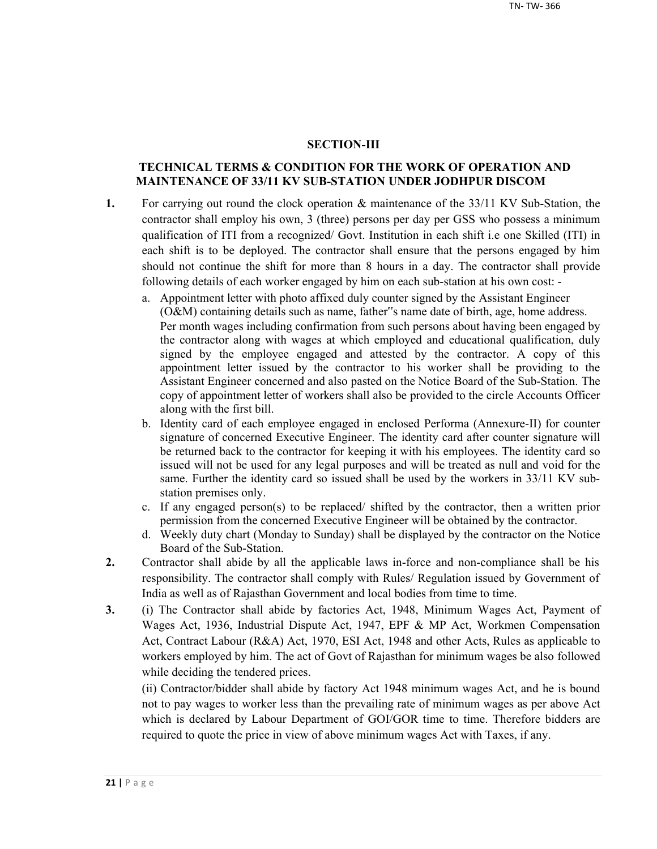#### **SECTION-III**

## **TECHNICAL TERMS & CONDITION FOR THE WORK OF OPERATION AND MAINTENANCE OF 33/11 KV SUB-STATION UNDER JODHPUR DISCOM**

- **1.** For carrying out round the clock operation & maintenance of the 33/11 KV Sub-Station, the contractor shall employ his own, 3 (three) persons per day per GSS who possess a minimum qualification of ITI from a recognized/ Govt. Institution in each shift i.e one Skilled (ITI) in each shift is to be deployed. The contractor shall ensure that the persons engaged by him should not continue the shift for more than 8 hours in a day. The contractor shall provide following details of each worker engaged by him on each sub-station at his own cost:
	- a. Appointment letter with photo affixed duly counter signed by the Assistant Engineer (O&M) containing details such as name, father"s name date of birth, age, home address. Per month wages including confirmation from such persons about having been engaged by the contractor along with wages at which employed and educational qualification, duly signed by the employee engaged and attested by the contractor. A copy of this appointment letter issued by the contractor to his worker shall be providing to the Assistant Engineer concerned and also pasted on the Notice Board of the Sub-Station. The copy of appointment letter of workers shall also be provided to the circle Accounts Officer along with the first bill.
	- b. Identity card of each employee engaged in enclosed Performa (Annexure-II) for counter signature of concerned Executive Engineer. The identity card after counter signature will be returned back to the contractor for keeping it with his employees. The identity card so issued will not be used for any legal purposes and will be treated as null and void for the same. Further the identity card so issued shall be used by the workers in 33/11 KV substation premises only.
	- c. If any engaged person(s) to be replaced/ shifted by the contractor, then a written prior permission from the concerned Executive Engineer will be obtained by the contractor.
	- d. Weekly duty chart (Monday to Sunday) shall be displayed by the contractor on the Notice Board of the Sub-Station.
- **2.** Contractor shall abide by all the applicable laws in-force and non-compliance shall be his responsibility. The contractor shall comply with Rules/ Regulation issued by Government of India as well as of Rajasthan Government and local bodies from time to time.
- **3.** (i) The Contractor shall abide by factories Act, 1948, Minimum Wages Act, Payment of Wages Act, 1936, Industrial Dispute Act, 1947, EPF & MP Act, Workmen Compensation Act, Contract Labour (R&A) Act, 1970, ESI Act, 1948 and other Acts, Rules as applicable to workers employed by him. The act of Govt of Rajasthan for minimum wages be also followed while deciding the tendered prices.

(ii) Contractor/bidder shall abide by factory Act 1948 minimum wages Act, and he is bound not to pay wages to worker less than the prevailing rate of minimum wages as per above Act which is declared by Labour Department of GOI/GOR time to time. Therefore bidders are required to quote the price in view of above minimum wages Act with Taxes, if any.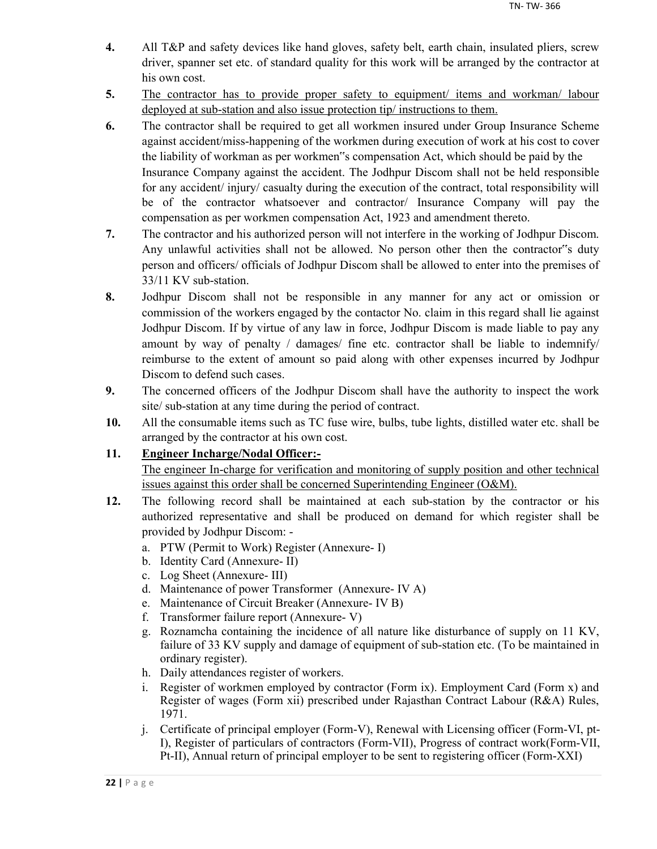- **4.** All T&P and safety devices like hand gloves, safety belt, earth chain, insulated pliers, screw driver, spanner set etc. of standard quality for this work will be arranged by the contractor at his own cost.
- **5.** The contractor has to provide proper safety to equipment/ items and workman/ labour deployed at sub-station and also issue protection tip/ instructions to them.
- **6.** The contractor shall be required to get all workmen insured under Group Insurance Scheme against accident/miss-happening of the workmen during execution of work at his cost to cover the liability of workman as per workmen"s compensation Act, which should be paid by the Insurance Company against the accident. The Jodhpur Discom shall not be held responsible for any accident/ injury/ casualty during the execution of the contract, total responsibility will be of the contractor whatsoever and contractor/ Insurance Company will pay the compensation as per workmen compensation Act, 1923 and amendment thereto.
- **7.** The contractor and his authorized person will not interfere in the working of Jodhpur Discom. Any unlawful activities shall not be allowed. No person other then the contractor"s duty person and officers/ officials of Jodhpur Discom shall be allowed to enter into the premises of 33/11 KV sub-station.
- **8.** Jodhpur Discom shall not be responsible in any manner for any act or omission or commission of the workers engaged by the contactor No. claim in this regard shall lie against Jodhpur Discom. If by virtue of any law in force, Jodhpur Discom is made liable to pay any amount by way of penalty / damages/ fine etc. contractor shall be liable to indemnify/ reimburse to the extent of amount so paid along with other expenses incurred by Jodhpur Discom to defend such cases.
- **9.** The concerned officers of the Jodhpur Discom shall have the authority to inspect the work site/ sub-station at any time during the period of contract.
- **10.** All the consumable items such as TC fuse wire, bulbs, tube lights, distilled water etc. shall be arranged by the contractor at his own cost.

## **11. Engineer Incharge/Nodal Officer:-**

The engineer In-charge for verification and monitoring of supply position and other technical issues against this order shall be concerned Superintending Engineer (O&M).

- **12.** The following record shall be maintained at each sub-station by the contractor or his authorized representative and shall be produced on demand for which register shall be provided by Jodhpur Discom:
	- a. PTW (Permit to Work) Register (Annexure- I)
	- b. Identity Card (Annexure- II)
	- c. Log Sheet (Annexure- III)
	- d. Maintenance of power Transformer (Annexure- IV A)
	- e. Maintenance of Circuit Breaker (Annexure- IV B)
	- f. Transformer failure report (Annexure- V)
	- g. Roznamcha containing the incidence of all nature like disturbance of supply on 11 KV, failure of 33 KV supply and damage of equipment of sub-station etc. (To be maintained in ordinary register).
	- h. Daily attendances register of workers.
	- i. Register of workmen employed by contractor (Form ix). Employment Card (Form x) and Register of wages (Form xii) prescribed under Rajasthan Contract Labour (R&A) Rules, 1971.
	- j. Certificate of principal employer (Form-V), Renewal with Licensing officer (Form-VI, pt-I), Register of particulars of contractors (Form-VII), Progress of contract work(Form-VII, Pt-II), Annual return of principal employer to be sent to registering officer (Form-XXI)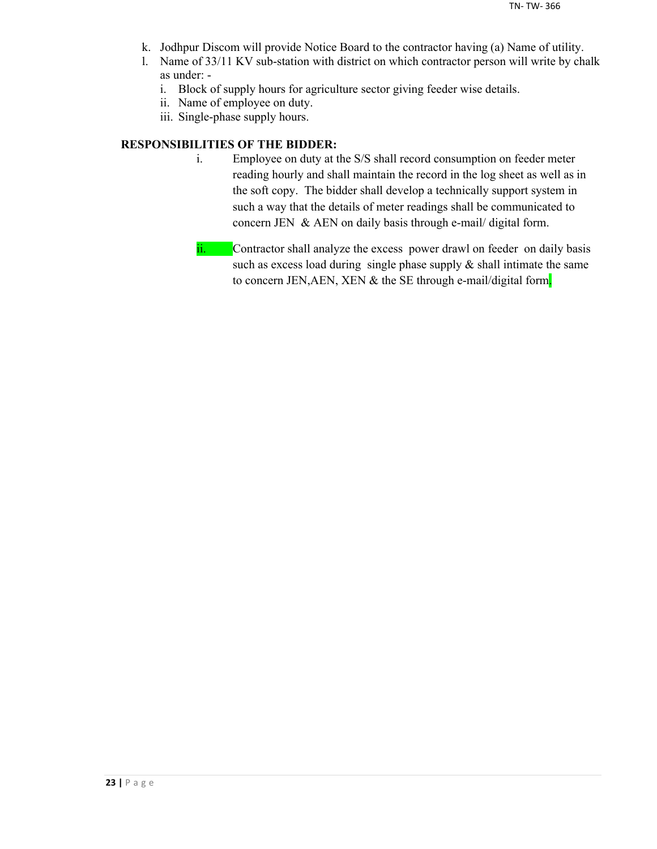- k. Jodhpur Discom will provide Notice Board to the contractor having (a) Name of utility.
- l. Name of 33/11 KV sub-station with district on which contractor person will write by chalk as under:
	- i. Block of supply hours for agriculture sector giving feeder wise details.
	- ii. Name of employee on duty.
	- iii. Single-phase supply hours.

## **RESPONSIBILITIES OF THE BIDDER:**

- i. Employee on duty at the S/S shall record consumption on feeder meter reading hourly and shall maintain the record in the log sheet as well as in the soft copy. The bidder shall develop a technically support system in such a way that the details of meter readings shall be communicated to concern JEN & AEN on daily basis through e-mail/ digital form.
- ii. Contractor shall analyze the excess power drawl on feeder on daily basis such as excess load during single phase supply  $\&$  shall intimate the same to concern JEN,AEN, XEN & the SE through e-mail/digital form.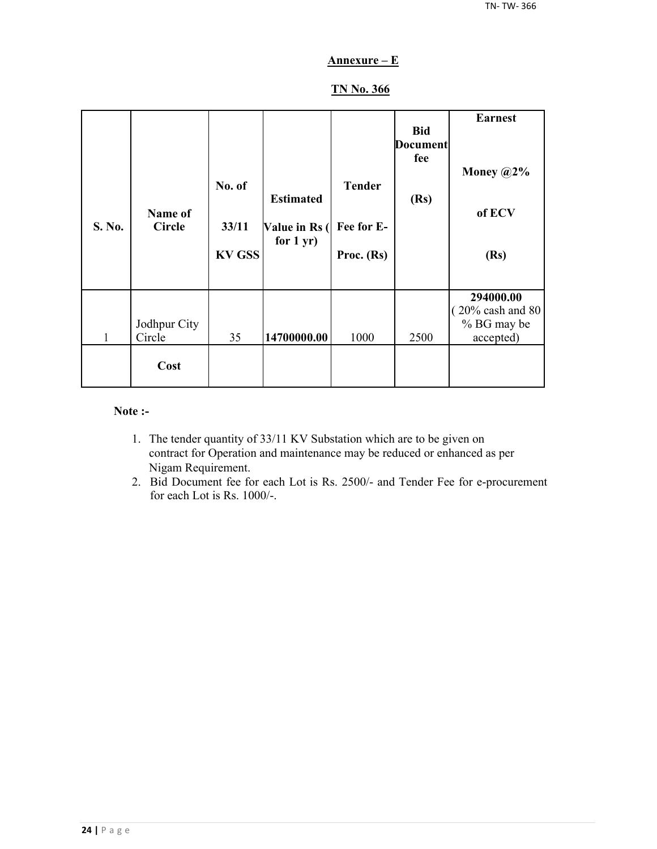## **Annexure – E**

## **TN No. 366**

| S. No. | Name of<br><b>Circle</b> | No. of<br>33/11<br><b>KV GSS</b> | <b>Estimated</b><br>Value in Rs (<br>for $1 yr$ ) | <b>Tender</b><br>Fee for E-<br>Proc. $(Rs)$ | <b>Bid</b><br><b>Document</b><br>fee<br>(Rs) | <b>Earnest</b><br>Money $@2\%$<br>of ECV<br>(Rs)         |
|--------|--------------------------|----------------------------------|---------------------------------------------------|---------------------------------------------|----------------------------------------------|----------------------------------------------------------|
| 1      | Jodhpur City<br>Circle   | 35                               | 14700000.00                                       | 1000                                        | 2500                                         | 294000.00<br>20% cash and 80<br>% BG may be<br>accepted) |
|        | Cost                     |                                  |                                                   |                                             |                                              |                                                          |

#### **Note :-**

- 1. The tender quantity of 33/11 KV Substation which are to be given on contract for Operation and maintenance may be reduced or enhanced as per Nigam Requirement.
- 2. Bid Document fee for each Lot is Rs. 2500/- and Tender Fee for e-procurement for each Lot is Rs. 1000/-.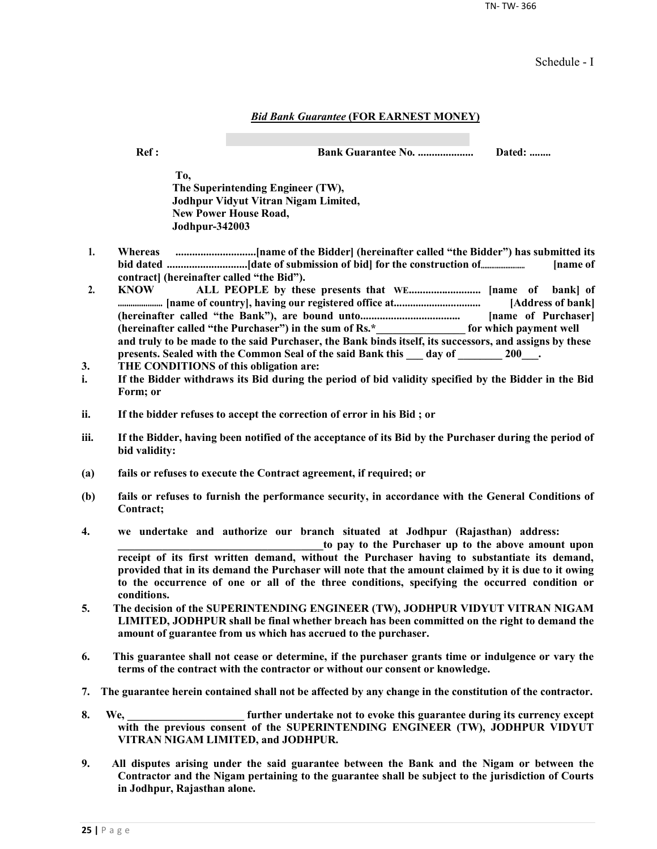TN- TW- 366

Schedule - I

#### *Bid Bank Guarantee* **(FOR EARNEST MONEY)**

**Ref : Bank Guarantee No. .................... Dated: ........**

**To, The Superintending Engineer (TW), Jodhpur Vidyut Vitran Nigam Limited, New Power House Road, Jodhpur-342003**

- **1. Whereas .............................[name of the Bidder] (hereinafter called "the Bidder") has submitted its bid dated .............................[date of submission of bid] for the construction of......................... [name of contract] (hereinafter called "the Bid").**
- **2. KNOW ALL PEOPLE by these presents that WE.......................... [name of bank] of ..................... [name of country], having our registered office at................................ [Address of bank] (hereinafter called "the Bank"), are bound unto.................................... [name of Purchaser] (hereinafter called "the Purchaser") in the sum of Rs.\*\_\_\_\_\_\_\_\_\_\_\_\_\_\_\_\_ for which payment well and truly to be made to the said Purchaser, the Bank binds itself, its successors, and assigns by these**  presents. Sealed with the Common Seal of the said Bank this \_\_\_ day of \_\_\_\_\_\_\_ 200\_\_\_.
- **3. THE CONDITIONS of this obligation are:**
- **i. If the Bidder withdraws its Bid during the period of bid validity specified by the Bidder in the Bid Form; or**
- **ii. If the bidder refuses to accept the correction of error in his Bid ; or**
- **iii. If the Bidder, having been notified of the acceptance of its Bid by the Purchaser during the period of bid validity:**
- **(a) fails or refuses to execute the Contract agreement, if required; or**
- **(b) fails or refuses to furnish the performance security, in accordance with the General Conditions of Contract;**
- **4. we undertake and authorize our branch situated at Jodhpur (Rajasthan) address:**

to pay to the Purchaser up to the above amount upon **receipt of its first written demand, without the Purchaser having to substantiate its demand, provided that in its demand the Purchaser will note that the amount claimed by it is due to it owing to the occurrence of one or all of the three conditions, specifying the occurred condition or conditions.**

- **5. The decision of the SUPERINTENDING ENGINEER (TW), JODHPUR VIDYUT VITRAN NIGAM LIMITED, JODHPUR shall be final whether breach has been committed on the right to demand the amount of guarantee from us which has accrued to the purchaser.**
- **6. This guarantee shall not cease or determine, if the purchaser grants time or indulgence or vary the terms of the contract with the contractor or without our consent or knowledge.**
- **7. The guarantee herein contained shall not be affected by any change in the constitution of the contractor.**
- **8. We, \_\_\_\_\_\_\_\_\_\_\_\_\_\_\_\_\_\_\_\_\_ further undertake not to evoke this guarantee during its currency except with the previous consent of the SUPERINTENDING ENGINEER (TW), JODHPUR VIDYUT VITRAN NIGAM LIMITED, and JODHPUR.**
- **9. All disputes arising under the said guarantee between the Bank and the Nigam or between the Contractor and the Nigam pertaining to the guarantee shall be subject to the jurisdiction of Courts in Jodhpur, Rajasthan alone.**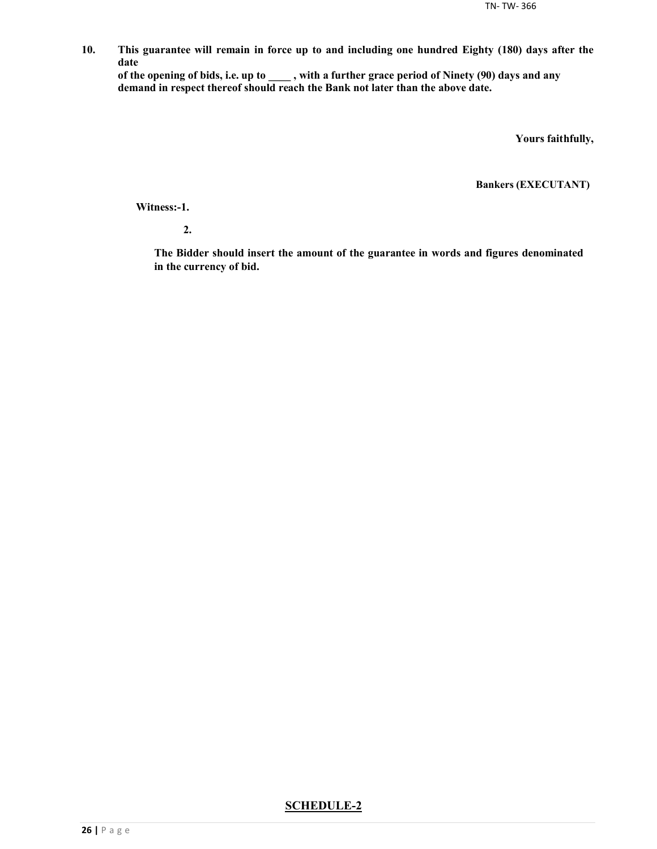**10. This guarantee will remain in force up to and including one hundred Eighty (180) days after the date**

**of the opening of bids, i.e. up to \_\_\_\_ , with a further grace period of Ninety (90) days and any demand in respect thereof should reach the Bank not later than the above date.**

**Yours faithfully,**

**Bankers (EXECUTANT)**

**Witness:-1.**

**2.**

**The Bidder should insert the amount of the guarantee in words and figures denominated in the currency of bid.**

#### **SCHEDULE-2**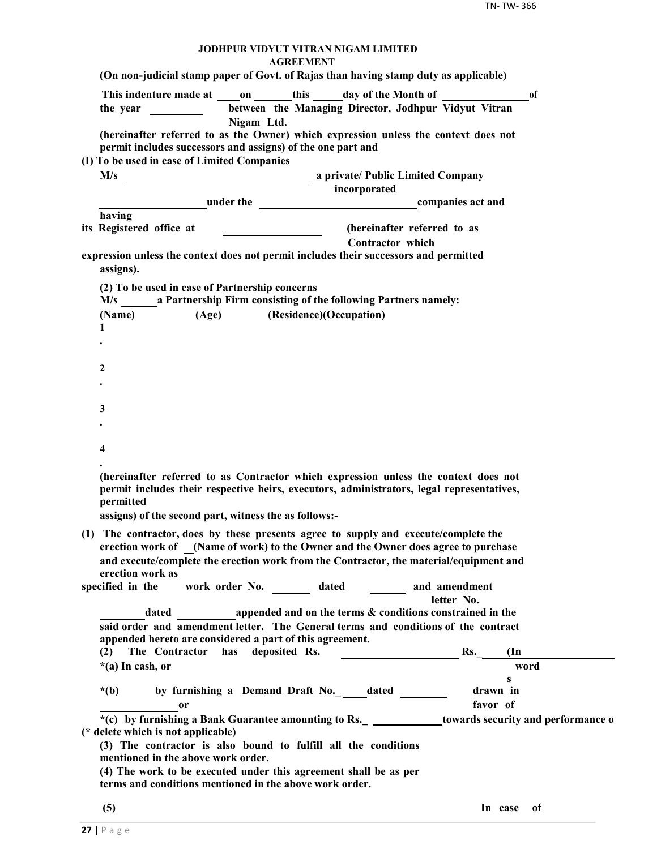#### **JODHPUR VIDYUT VITRAN NIGAM LIMITED AGREEMENT**

| <b>AURELIVIEN I</b><br>(On non-judicial stamp paper of Govt. of Rajas than having stamp duty as applicable)                                                                                                                                            |
|--------------------------------------------------------------------------------------------------------------------------------------------------------------------------------------------------------------------------------------------------------|
| This indenture made at on this day of the Month of<br><sub>of</sub>                                                                                                                                                                                    |
| between the Managing Director, Jodhpur Vidyut Vitran<br>the year                                                                                                                                                                                       |
| Nigam Ltd.<br>(hereinafter referred to as the Owner) which expression unless the context does not<br>permit includes successors and assigns) of the one part and<br>(I) To be used in case of Limited Companies                                        |
|                                                                                                                                                                                                                                                        |
| incorporated                                                                                                                                                                                                                                           |
| under the companies act and                                                                                                                                                                                                                            |
| having                                                                                                                                                                                                                                                 |
| its Registered office at<br>(hereinafter referred to as<br>$\overline{\phantom{a}}$ . The contract of $\overline{\phantom{a}}$                                                                                                                         |
| Contractor which<br>expression unless the context does not permit includes their successors and permitted<br>assigns).                                                                                                                                 |
| (2) To be used in case of Partnership concerns<br>M/s a Partnership Firm consisting of the following Partners namely:                                                                                                                                  |
| (Age) (Residence)(Occupation)<br>(Name)                                                                                                                                                                                                                |
| 1                                                                                                                                                                                                                                                      |
|                                                                                                                                                                                                                                                        |
|                                                                                                                                                                                                                                                        |
| 2                                                                                                                                                                                                                                                      |
|                                                                                                                                                                                                                                                        |
| 3                                                                                                                                                                                                                                                      |
|                                                                                                                                                                                                                                                        |
|                                                                                                                                                                                                                                                        |
| 4                                                                                                                                                                                                                                                      |
| (hereinafter referred to as Contractor which expression unless the context does not<br>permit includes their respective heirs, executors, administrators, legal representatives,<br>permitted<br>assigns) of the second part, witness the as follows:- |
| (1) The contractor, does by these presents agree to supply and execute/complete the                                                                                                                                                                    |
| erection work of (Name of work) to the Owner and the Owner does agree to purchase                                                                                                                                                                      |
| and execute/complete the erection work from the Contractor, the material/equipment and                                                                                                                                                                 |
| erection work as                                                                                                                                                                                                                                       |
| specified in the<br>work order No. _______ dated _______ and amendment<br>letter No.                                                                                                                                                                   |
| appended and on the terms $\&$ conditions constrained in the<br>dated                                                                                                                                                                                  |
| said order and amendment letter. The General terms and conditions of the contract                                                                                                                                                                      |
| appended hereto are considered a part of this agreement.                                                                                                                                                                                               |
| deposited Rs.<br>(2) The Contractor has<br>Rs<br>$(\text{In})$                                                                                                                                                                                         |
| $*(a)$ In cash, or<br>word                                                                                                                                                                                                                             |
| s<br>by furnishing a Demand Draft No._____dated _______<br>$*(b)$<br>drawn in                                                                                                                                                                          |
| favor of<br><sub>or</sub>                                                                                                                                                                                                                              |
| *(c) by furnishing a Bank Guarantee amounting to Rs. _ _____________towards security and performance o<br>(* delete which is not applicable)                                                                                                           |
| (3) The contractor is also bound to fulfill all the conditions<br>mentioned in the above work order.                                                                                                                                                   |
| (4) The work to be executed under this agreement shall be as per<br>terms and conditions mentioned in the above work order.                                                                                                                            |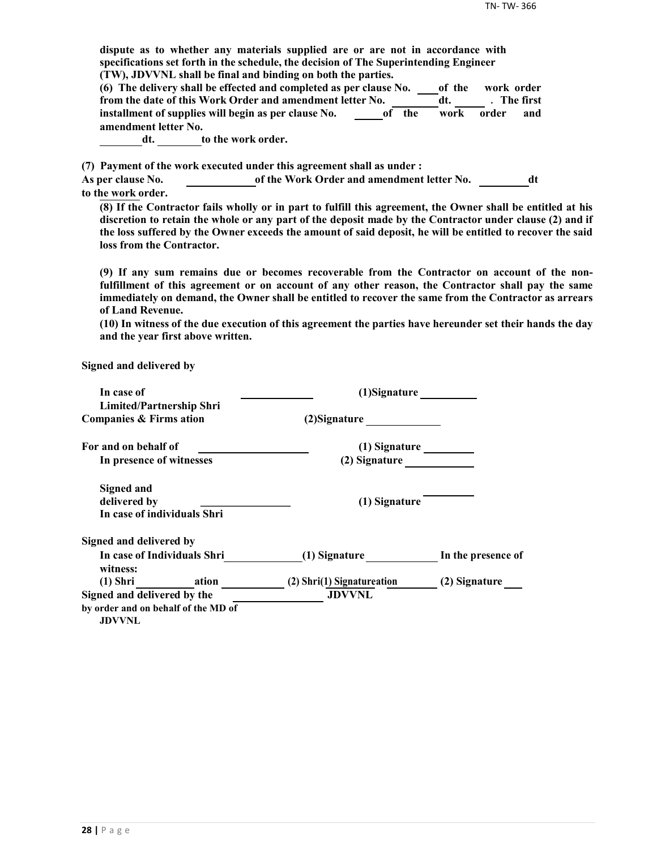**dispute as to whether any materials supplied are or are not in accordance with specifications set forth in the schedule, the decision of The Superintending Engineer (TW), JDVVNL shall be final and binding on both the parties. (6) The delivery shall be effected and completed as per clause No. of the work order from the date of this Work Order and amendment letter No. dt.** The first **installment of supplies will begin as per clause No. of the work order and amendment letter No. dt. to the work order. (7) Payment of the work executed under this agreement shall as under : As per clause No. of the Work Order and amendment letter No. dt to the work order. (8) If the Contractor fails wholly or in part to fulfill this agreement, the Owner shall be entitled at his discretion to retain the whole or any part of the deposit made by the Contractor under clause (2) and if the loss suffered by the Owner exceeds the amount of said deposit, he will be entitled to recover the said loss from the Contractor. (9) If any sum remains due or becomes recoverable from the Contractor on account of the nonfulfillment of this agreement or on account of any other reason, the Contractor shall pay the same immediately on demand, the Owner shall be entitled to recover the same from the Contractor as arrears of Land Revenue. (10) In witness of the due execution of this agreement the parties have hereunder set their hands the day and the year first above written. Signed and delivered by In case of (1)Signature Limited/Partnership Shri Companies & Firms ation (2)Signature** *(2)***Signature** For and on behalf of **CONSIDER (1)** Signature **In presence of witnesses (2) Signature Signed and** delivered by *delivered by delivered by delivered by delivered by delivered by delivered by delivered by delivered by delivered by delivered by delivered by delivered by del* **In case of individuals Shri**

| Signed and delivered by             |                                             |                    |
|-------------------------------------|---------------------------------------------|--------------------|
| In case of Individuals Shri         | (1) Signature                               | In the presence of |
| witness:<br>$(1)$ Shri<br>ation     |                                             | (2) Signature      |
| Signed and delivered by the         | (2) Shri(1) Signatureation<br><b>JDVVNL</b> |                    |
| by order and on behalf of the MD of |                                             |                    |

**JDVVNL**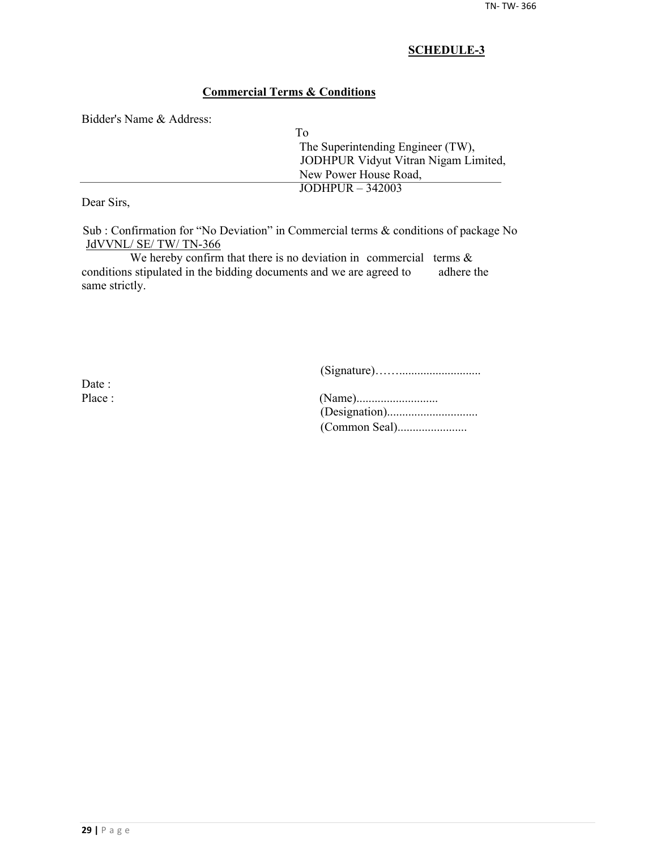## **SCHEDULE-3**

## **Commercial Terms & Conditions**

Bidder's Name & Address:

| Tο                                   |  |
|--------------------------------------|--|
| The Superintending Engineer (TW),    |  |
| JODHPUR Vidyut Vitran Nigam Limited, |  |
| New Power House Road,                |  |
| $JODHPUR - 342003$                   |  |

Dear Sirs,

Sub : Confirmation for "No Deviation" in Commercial terms & conditions of package No JdVVNL/ SE/ TW/ TN-366

We hereby confirm that there is no deviation in commercial terms  $\&$ conditions stipulated in the bidding documents and we are agreed to adhere the same strictly.

(Signature)……...........................

Date :

| Place : |  |
|---------|--|
|         |  |
|         |  |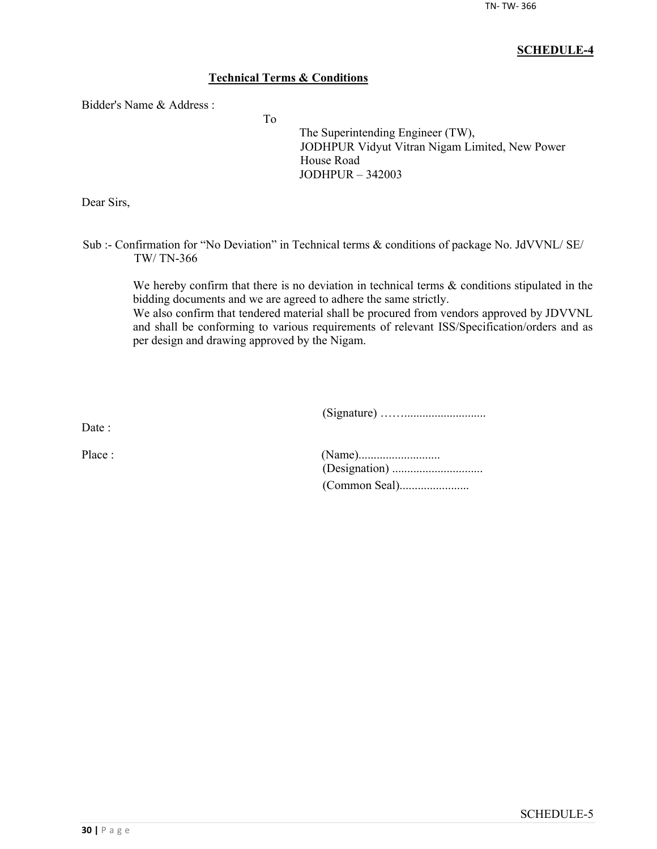## **SCHEDULE-4**

## **Technical Terms & Conditions**

To

Bidder's Name & Address :

The Superintending Engineer (TW), JODHPUR Vidyut Vitran Nigam Limited, New Power House Road JODHPUR – 342003

Dear Sirs,

Sub :- Confirmation for "No Deviation" in Technical terms & conditions of package No. JdVVNL/ SE/ TW/ TN-366

We hereby confirm that there is no deviation in technical terms  $\&$  conditions stipulated in the bidding documents and we are agreed to adhere the same strictly.

We also confirm that tendered material shall be procured from vendors approved by JDVVNL and shall be conforming to various requirements of relevant ISS/Specification/orders and as per design and drawing approved by the Nigam.

(Signature) ……...........................

Date ·

| Place : |  |
|---------|--|
|         |  |
|         |  |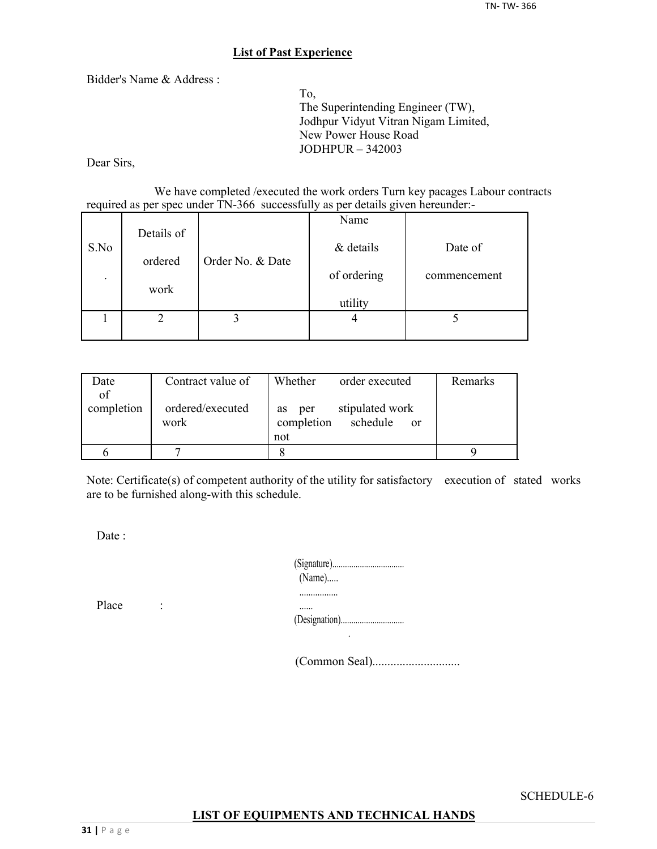## **List of Past Experience**

Bidder's Name & Address :

To, The Superintending Engineer (TW), Jodhpur Vidyut Vitran Nigam Limited, New Power House Road JODHPUR – 342003

Dear Sirs,

We have completed /executed the work orders Turn key pacages Labour contracts required as per spec under TN-366 successfully as per details given hereunder:-

|      |            |                  | Name        |              |
|------|------------|------------------|-------------|--------------|
| S.No | Details of | Order No. & Date | & details   | Date of      |
|      | ordered    |                  |             |              |
|      |            |                  | of ordering | commencement |
|      | work       |                  |             |              |
|      |            |                  | utility     |              |
|      |            |                  |             |              |
|      |            |                  |             |              |

| Date       | Contract value of | Whether<br>order executed               | Remarks |
|------------|-------------------|-----------------------------------------|---------|
| of         |                   |                                         |         |
| completion | ordered/executed  | stipulated work<br>per<br><b>as</b>     |         |
|            | work              | completion<br>schedule<br><sub>or</sub> |         |
|            |                   | not                                     |         |
|            |                   |                                         |         |

Note: Certificate(s) of competent authority of the utility for satisfactory execution of stated works are to be furnished along-with this schedule.

Date :

| $(Name)$ |  |
|----------|--|
|          |  |

Place :

......

(Common Seal).............................

SCHEDULE-6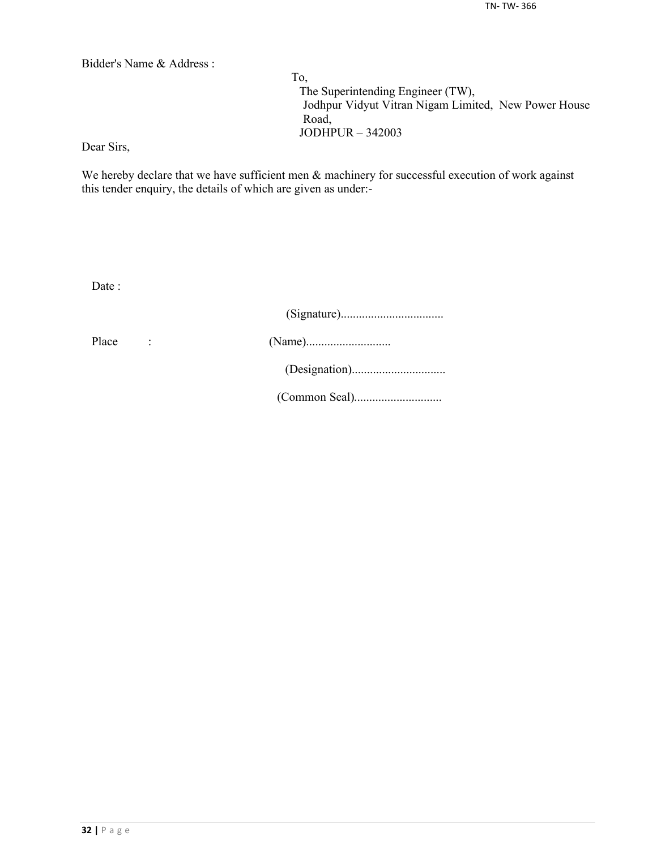Bidder's Name & Address :

To, The Superintending Engineer (TW), Jodhpur Vidyut Vitran Nigam Limited, New Power House Road, JODHPUR – 342003

Dear Sirs,

We hereby declare that we have sufficient men  $\&$  machinery for successful execution of work against this tender enquiry, the details of which are given as under:-

Date :

| Place | $\ddot{\phantom{a}}$ |  |
|-------|----------------------|--|
|       |                      |  |
|       |                      |  |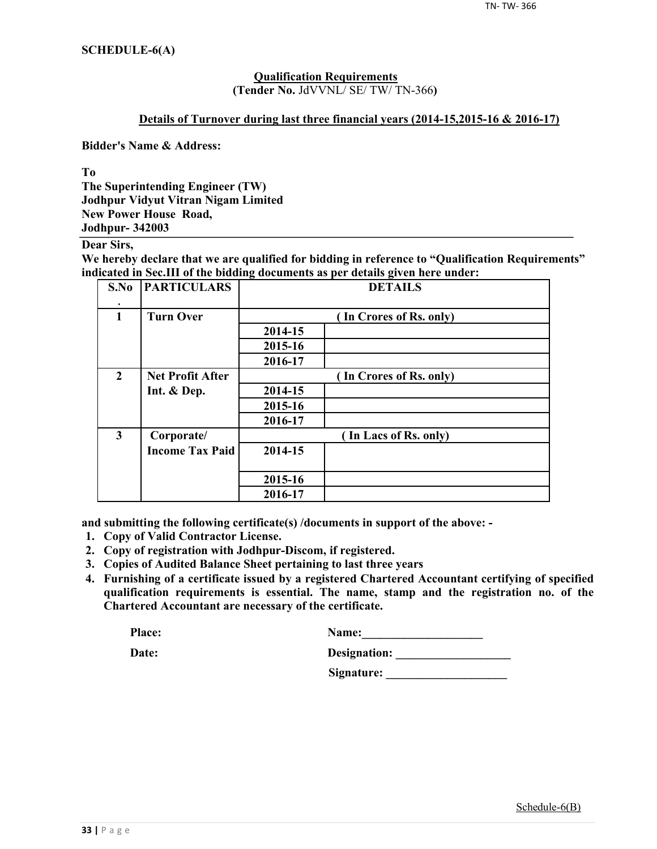#### **Qualification Requirements**

**(Tender No.** JdVVNL/ SE/ TW/ TN-366**)**

#### **Details of Turnover during last three financial years (2014-15,2015-16 & 2016-17)**

**Bidder's Name & Address:**

**To**

**The Superintending Engineer (TW) Jodhpur Vidyut Vitran Nigam Limited New Power House Road, Jodhpur- 342003**

**Dear Sirs,**

**We hereby declare that we are qualified for bidding in reference to "Qualification Requirements" indicated in Sec.III of the bidding documents as per details given here under:**

| S.No         | <b>PARTICULARS</b>      | <b>DETAILS</b>          |  |  |
|--------------|-------------------------|-------------------------|--|--|
| 1            | <b>Turn Over</b>        | (In Crores of Rs. only) |  |  |
|              |                         | 2014-15                 |  |  |
|              |                         | 2015-16                 |  |  |
|              |                         | 2016-17                 |  |  |
| $\mathbf{2}$ | <b>Net Profit After</b> | (In Crores of Rs. only) |  |  |
|              | Int. & Dep.             | 2014-15                 |  |  |
|              |                         | 2015-16                 |  |  |
|              |                         | 2016-17                 |  |  |
| 3            | Corporate/              | (In Lacs of Rs. only)   |  |  |
|              | <b>Income Tax Paid</b>  | 2014-15                 |  |  |
|              |                         |                         |  |  |
|              |                         | 2015-16                 |  |  |
|              |                         | 2016-17                 |  |  |

**and submitting the following certificate(s) /documents in support of the above: -**

- **1. Copy of Valid Contractor License.**
- **2. Copy of registration with Jodhpur-Discom, if registered.**
- **3. Copies of Audited Balance Sheet pertaining to last three years**
- **4. Furnishing of a certificate issued by a registered Chartered Accountant certifying of specified qualification requirements is essential. The name, stamp and the registration no. of the Chartered Accountant are necessary of the certificate.**

| <b>Place:</b> | Name:        |
|---------------|--------------|
| Date:         | Designation: |
|               | Signature:   |

Schedule-6(B)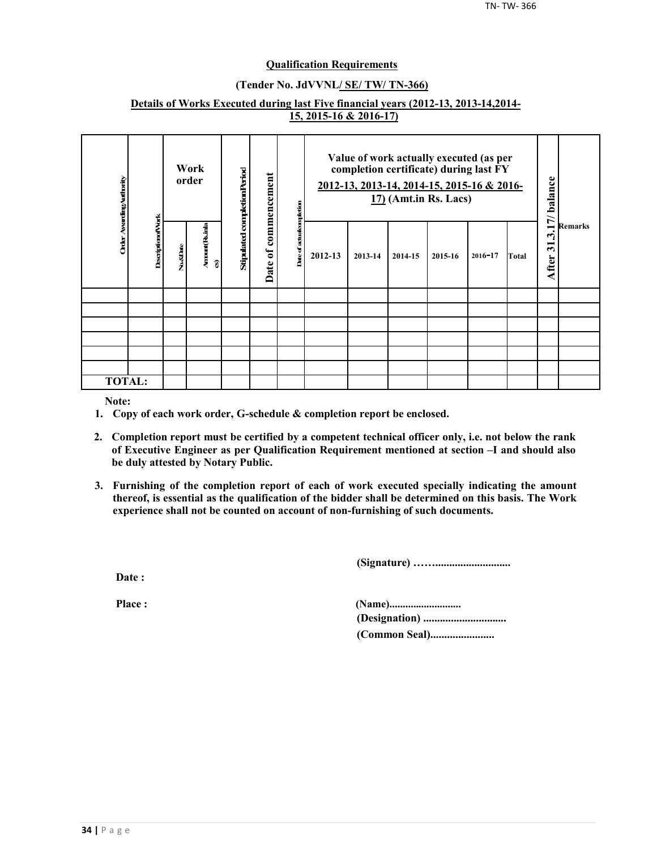#### **Qualification Requirements**

#### **(Tender No. JdVVNL/ SE/ TW/ TN-366)**

#### **Details of Works Executed during last Five financial years (2012-13, 2013-14,2014- 15, 2015-16 & 2016-17)**

| Order AwardingAuthority |                           |          | Work<br>order      | Stipulated completionPeriod | of commencement |                          | Value of work actually executed (as per<br>completion certificate) during last FY<br>2012-13, 2013-14, 2014-15, 2015-16 & 2016-<br>$17$ ) (Amt.in Rs. Lacs) |         |         | 17/balance |             |       |                |                |
|-------------------------|---------------------------|----------|--------------------|-----------------------------|-----------------|--------------------------|-------------------------------------------------------------------------------------------------------------------------------------------------------------|---------|---------|------------|-------------|-------|----------------|----------------|
|                         | <b>Descriptionof Work</b> | No.&Date | Amount Reinla<br>ø |                             | Date            | Date of actualcompletion | 2012-13                                                                                                                                                     | 2013-14 | 2014-15 | 2015-16    | $2016 - 17$ | Total | نې<br>After 31 | <b>Remarks</b> |
|                         |                           |          |                    |                             |                 |                          |                                                                                                                                                             |         |         |            |             |       |                |                |
|                         |                           |          |                    |                             |                 |                          |                                                                                                                                                             |         |         |            |             |       |                |                |
|                         |                           |          |                    |                             |                 |                          |                                                                                                                                                             |         |         |            |             |       |                |                |
|                         |                           |          |                    |                             |                 |                          |                                                                                                                                                             |         |         |            |             |       |                |                |
|                         |                           |          |                    |                             |                 |                          |                                                                                                                                                             |         |         |            |             |       |                |                |
|                         |                           |          |                    |                             |                 |                          |                                                                                                                                                             |         |         |            |             |       |                |                |
| <b>TOTAL:</b>           |                           |          |                    |                             |                 |                          |                                                                                                                                                             |         |         |            |             |       |                |                |

**Note:**

- **1. Copy of each work order, G-schedule & completion report be enclosed.**
- **2. Completion report must be certified by a competent technical officer only, i.e. not below the rank of Executive Engineer as per Qualification Requirement mentioned at section –I and should also be duly attested by Notary Public.**
- **3. Furnishing of the completion report of each of work executed specially indicating the amount thereof, is essential as the qualification of the bidder shall be determined on this basis. The Work experience shall not be counted on account of non-furnishing of such documents.**

**(Signature) ……...........................**

**Date :**

**Place : (Name)........................... (Designation) .............................. (Common Seal).......................**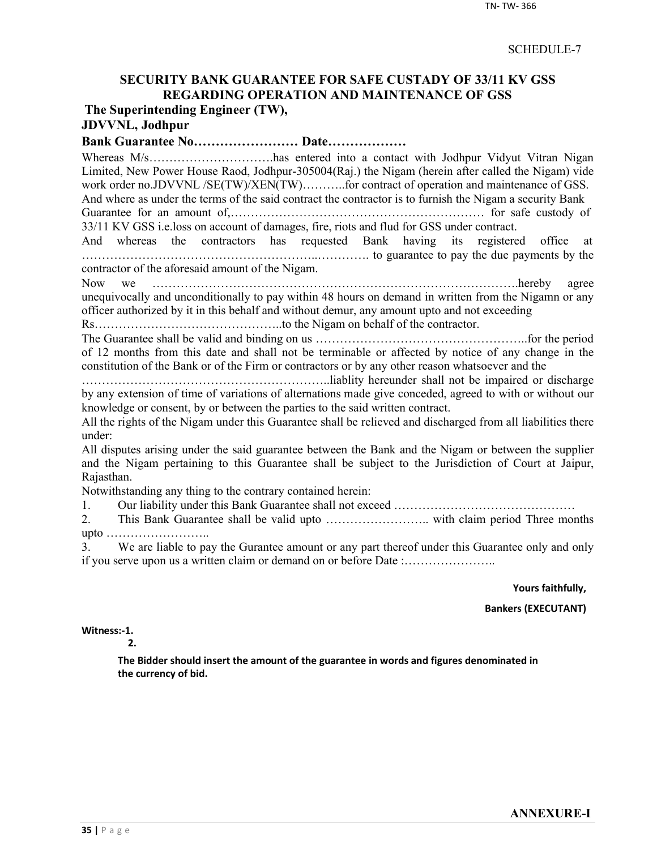## SCHEDULE-7

## **SECURITY BANK GUARANTEE FOR SAFE CUSTADY OF 33/11 KV GSS REGARDING OPERATION AND MAINTENANCE OF GSS The Superintending Engineer (TW),**

## **JDVVNL, Jodhpur**

## **Bank Guarantee No…………………… Date………………**

Whereas M/s………………………….has entered into a contact with Jodhpur Vidyut Vitran Nigan Limited, New Power House Raod, Jodhpur-305004(Raj.) the Nigam (herein after called the Nigam) vide work order no.JDVVNL /SE(TW)/XEN(TW)………..for contract of operation and maintenance of GSS. And where as under the terms of the said contract the contractor is to furnish the Nigam a security Bank Guarantee for an amount of,……………………………………………………… for safe custody of 33/11 KV GSS i.e.loss on account of damages, fire, riots and flud for GSS under contract. And whereas the contractors has requested Bank having its registered office at …………………………………………………..…………. to guarantee to pay the due payments by the contractor of the aforesaid amount of the Nigam. Now we ……………………………………………………………………………….hereby agree unequivocally and unconditionally to pay within 48 hours on demand in written from the Nigamn or any officer authorized by it in this behalf and without demur, any amount upto and not exceeding Rs………………………………………..to the Nigam on behalf of the contractor. The Guarantee shall be valid and binding on us ……………………………………………..for the period of 12 months from this date and shall not be terminable or affected by notice of any change in the constitution of the Bank or of the Firm or contractors or by any other reason whatsoever and the ……………………………………………………..liablity hereunder shall not be impaired or discharge by any extension of time of variations of alternations made give conceded, agreed to with or without our knowledge or consent, by or between the parties to the said written contract. All the rights of the Nigam under this Guarantee shall be relieved and discharged from all liabilities there under: All disputes arising under the said guarantee between the Bank and the Nigam or between the supplier and the Nigam pertaining to this Guarantee shall be subject to the Jurisdiction of Court at Jaipur, Rajasthan. Notwithstanding any thing to the contrary contained herein: 1. Our liability under this Bank Guarantee shall not exceed ……………………………………… 2. This Bank Guarantee shall be valid upto …………………….. with claim period Three months upto …………………….. 3. We are liable to pay the Gurantee amount or any part thereof under this Guarantee only and only

if you serve upon us a written claim or demand on or before Date :…………………..

**Yours faithfully,**

**Bankers (EXECUTANT)**

**Witness:-1.** 

**2.**

**The Bidder should insert the amount of the guarantee in words and figures denominated in the currency of bid.**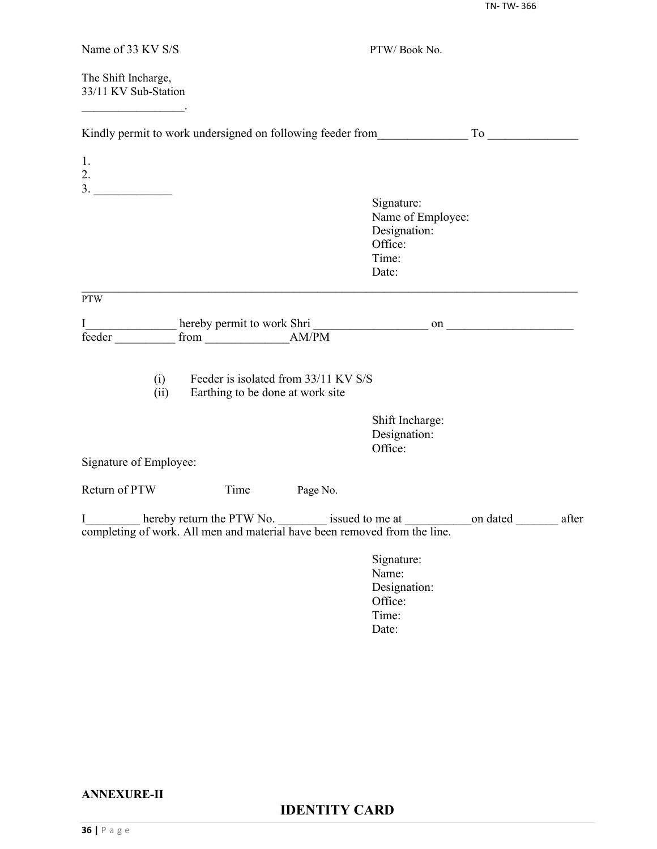TN- TW- 366

| Name of 33 KV S/S                               |                                                                           |          | PTW/Book No.                                                                 |          |       |
|-------------------------------------------------|---------------------------------------------------------------------------|----------|------------------------------------------------------------------------------|----------|-------|
| The Shift Incharge,<br>33/11 KV Sub-Station     |                                                                           |          |                                                                              |          |       |
|                                                 |                                                                           |          | Kindly permit to work undersigned on following feeder from To To             |          |       |
| 1.<br>2.<br>$\begin{array}{c}\n3.\n\end{array}$ |                                                                           |          |                                                                              |          |       |
|                                                 |                                                                           |          | Signature:<br>Name of Employee:<br>Designation:<br>Office:<br>Time:<br>Date: |          |       |
| <b>PTW</b>                                      |                                                                           |          |                                                                              |          |       |
| I<br>feeder                                     |                                                                           |          |                                                                              |          |       |
| (i)<br>(ii)                                     | Feeder is isolated from 33/11 KV S/S<br>Earthing to be done at work site  |          |                                                                              |          |       |
| Signature of Employee:                          |                                                                           |          | Shift Incharge:<br>Designation:<br>Office:                                   |          |       |
| Return of PTW                                   | Time                                                                      | Page No. |                                                                              |          |       |
| $I_{\_}$                                        | completing of work. All men and material have been removed from the line. |          |                                                                              | on dated | after |
|                                                 |                                                                           |          | Signature:<br>Name:<br>Designation:<br>Office:<br>Time:<br>Date:             |          |       |
|                                                 |                                                                           |          |                                                                              |          |       |

#### **ANNEXURE-II**

# **IDENTITY CARD**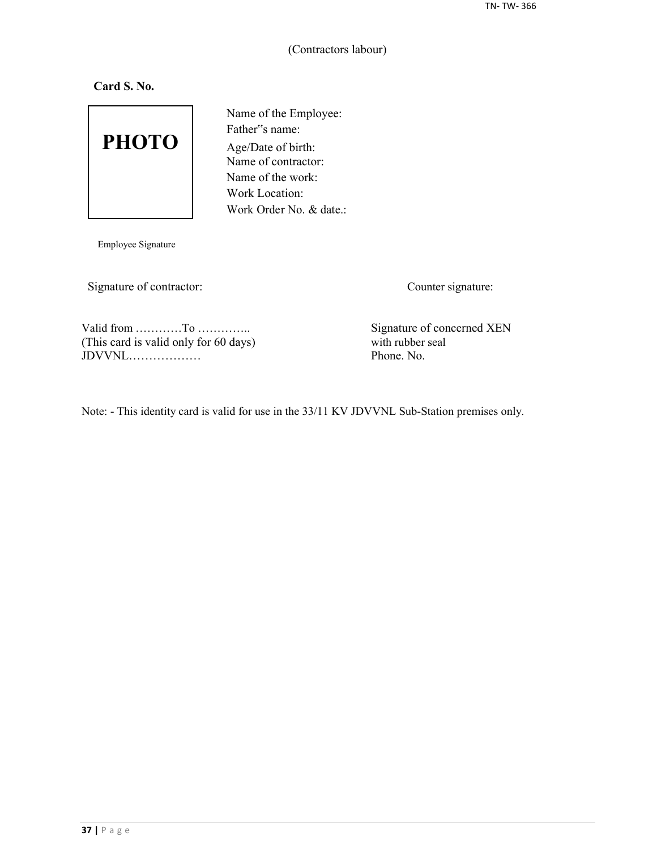## (Contractors labour)

**Card S. No.**



Name of the Employee: Father"s name: Age/Date of birth: Name of contractor: Name of the work: Work Location: Work Order No. & date.:

Employee Signature

Signature of contractor: Counter signature:

Valid from …………To …………….<br>
(This card is valid only for 60 days) Signature of concerned XEN with rubber seal (This card is valid only for 60 days) with rubber seal JDVVNL………………

Note: - This identity card is valid for use in the 33/11 KV JDVVNL Sub-Station premises only.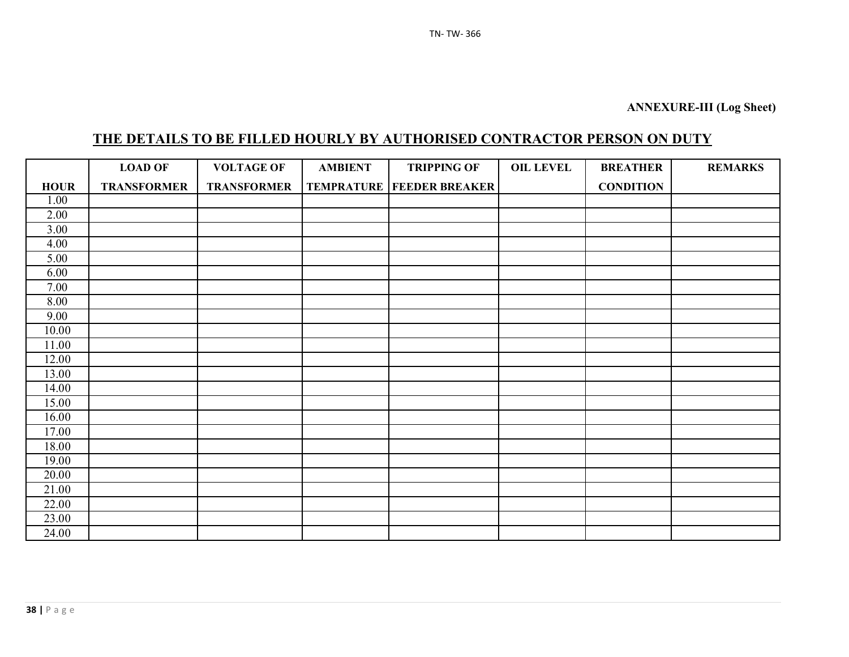# **THE DETAILS TO BE FILLED HOURLY BY AUTHORISED CONTRACTOR PERSON ON DUTY**

|             | <b>LOAD OF</b>     | <b>VOLTAGE OF</b>  | <b>AMBIENT</b> | <b>TRIPPING OF</b>                   | <b>OIL LEVEL</b> | <b>BREATHER</b>  | <b>REMARKS</b> |
|-------------|--------------------|--------------------|----------------|--------------------------------------|------------------|------------------|----------------|
| <b>HOUR</b> | <b>TRANSFORMER</b> | <b>TRANSFORMER</b> |                | <b>TEMPRATURE   FEEDER BREAKER  </b> |                  | <b>CONDITION</b> |                |
| 1.00        |                    |                    |                |                                      |                  |                  |                |
| 2.00        |                    |                    |                |                                      |                  |                  |                |
| 3.00        |                    |                    |                |                                      |                  |                  |                |
| 4.00        |                    |                    |                |                                      |                  |                  |                |
| 5.00        |                    |                    |                |                                      |                  |                  |                |
| 6.00        |                    |                    |                |                                      |                  |                  |                |
| 7.00        |                    |                    |                |                                      |                  |                  |                |
| 8.00        |                    |                    |                |                                      |                  |                  |                |
| 9.00        |                    |                    |                |                                      |                  |                  |                |
| 10.00       |                    |                    |                |                                      |                  |                  |                |
| 11.00       |                    |                    |                |                                      |                  |                  |                |
| 12.00       |                    |                    |                |                                      |                  |                  |                |
| 13.00       |                    |                    |                |                                      |                  |                  |                |
| 14.00       |                    |                    |                |                                      |                  |                  |                |
| 15.00       |                    |                    |                |                                      |                  |                  |                |
| 16.00       |                    |                    |                |                                      |                  |                  |                |
| 17.00       |                    |                    |                |                                      |                  |                  |                |
| 18.00       |                    |                    |                |                                      |                  |                  |                |
| 19.00       |                    |                    |                |                                      |                  |                  |                |
| 20.00       |                    |                    |                |                                      |                  |                  |                |
| 21.00       |                    |                    |                |                                      |                  |                  |                |
| 22.00       |                    |                    |                |                                      |                  |                  |                |
| 23.00       |                    |                    |                |                                      |                  |                  |                |
| 24.00       |                    |                    |                |                                      |                  |                  |                |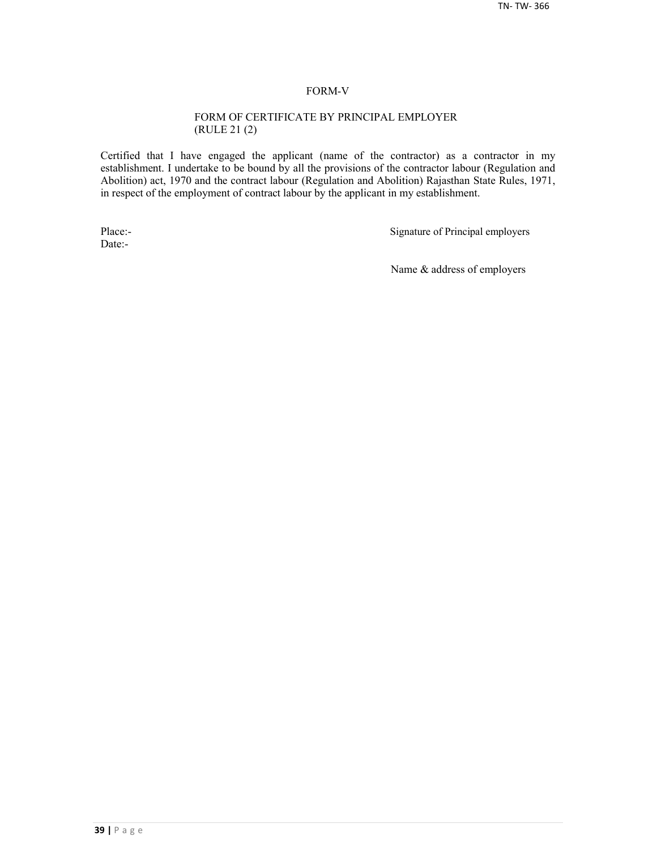#### FORM-V

#### FORM OF CERTIFICATE BY PRINCIPAL EMPLOYER (RULE 21 (2)

Certified that I have engaged the applicant (name of the contractor) as a contractor in my establishment. I undertake to be bound by all the provisions of the contractor labour (Regulation and Abolition) act, 1970 and the contract labour (Regulation and Abolition) Rajasthan State Rules, 1971, in respect of the employment of contract labour by the applicant in my establishment.

Date:-

Place:-<br>
Signature of Principal employers

Name & address of employers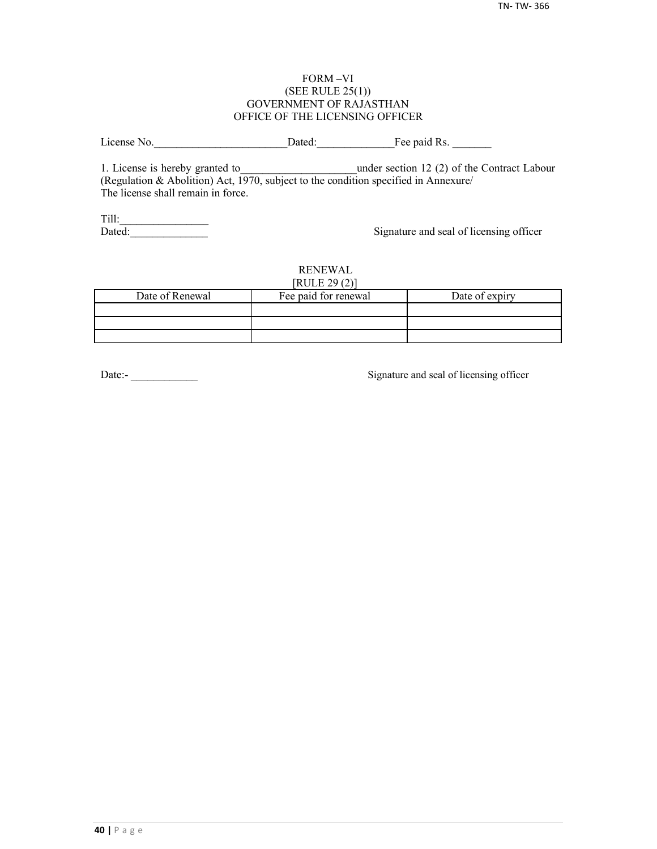#### FORM –VI (SEE RULE 25(1)) GOVERNMENT OF RAJASTHAN OFFICE OF THE LICENSING OFFICER

License No. 2012 Dated: The paid Rs.

1. License is hereby granted to **the under section 12 (2) of the Contract Labour** (Regulation & Abolition) Act, 1970, subject to the condition specified in Annexure/ The license shall remain in force.

Till:\_\_\_\_\_\_\_\_\_\_\_\_\_\_\_\_

Signature and seal of licensing officer

#### RENEWAL  $[PHH]$   $[20(2)]$

| NULLZJ(Z)       |                      |                |  |  |  |  |
|-----------------|----------------------|----------------|--|--|--|--|
| Date of Renewal | Fee paid for renewal | Date of expiry |  |  |  |  |
|                 |                      |                |  |  |  |  |
|                 |                      |                |  |  |  |  |
|                 |                      |                |  |  |  |  |

Date:-<br>
Signature and seal of licensing officer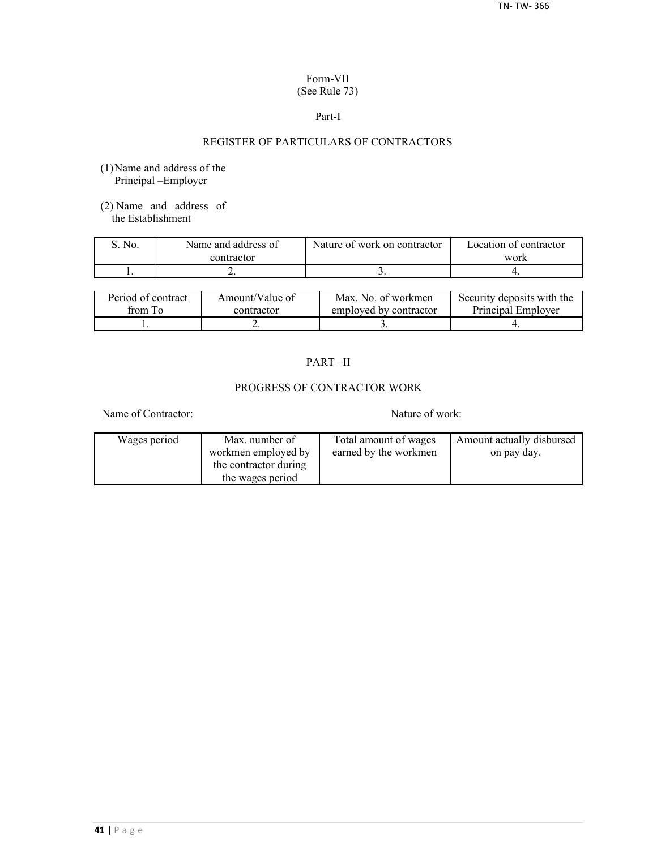#### Form-VII (See Rule 73)

#### Part-I

## REGISTER OF PARTICULARS OF CONTRACTORS

- (1)Name and address of the Principal –Employer
- (2) Name and address of the Establishment

| No. | Name and address of | Nature of work on contractor | Location of contractor |  |
|-----|---------------------|------------------------------|------------------------|--|
|     | contractor          |                              | work                   |  |
|     | . .                 |                              |                        |  |

| Period of contract | Amount/Value of | Max. No. of workmen    | Security deposits with the |
|--------------------|-----------------|------------------------|----------------------------|
| from To            | contractor      | employed by contractor | Principal Employer         |
|                    | ∸               |                        |                            |

## PART –II

## PROGRESS OF CONTRACTOR WORK

Name of Contractor: Nature of work:

| Wages period | Max. number of        | Total amount of wages | Amount actually disbursed |
|--------------|-----------------------|-----------------------|---------------------------|
|              | workmen employed by   | earned by the workmen | on pay day.               |
|              | the contractor during |                       |                           |
|              | the wages period      |                       |                           |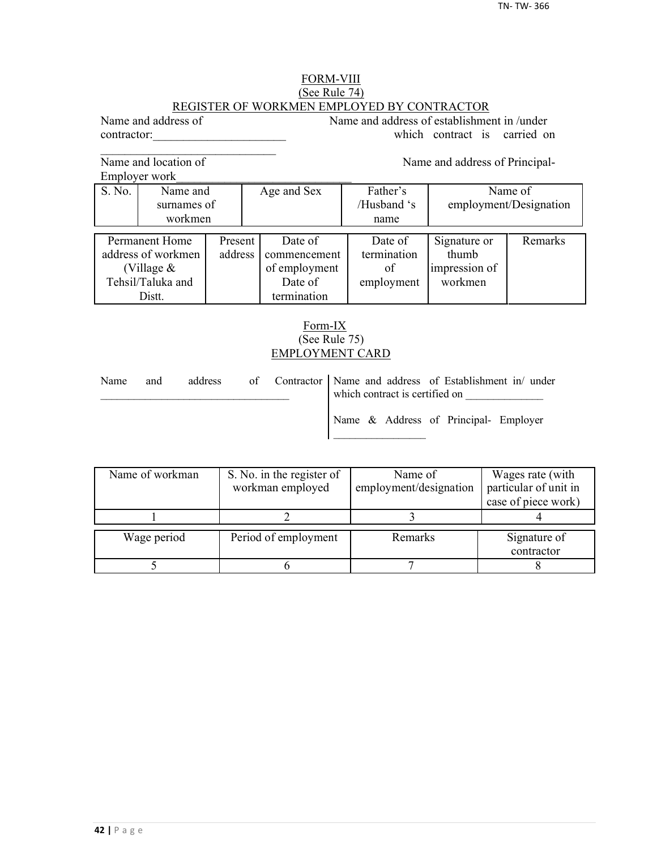## FORM-VIII (See Rule 74) REGISTER OF WORKMEN EMPLOYED BY CONTRACTOR

Name and address of Name and address of establishment in /under contractor: which contract is carried on

Name and location of Name and address of Principal-

 $\mathcal{L}_\text{max}$ 

Employer work\_\_\_\_\_\_\_\_\_\_\_\_\_\_\_\_\_\_\_\_\_\_\_\_\_\_\_\_\_

|                    | EIIIDIOVEI WOIK |         |               |             |               |                        |
|--------------------|-----------------|---------|---------------|-------------|---------------|------------------------|
| S. No.             | Name and        |         | Age and Sex   | Father's    | Name of       |                        |
|                    | surnames of     |         |               | /Husband 's |               | employment/Designation |
|                    | workmen         |         |               | name        |               |                        |
|                    |                 |         |               |             |               |                        |
|                    | Permanent Home  | Present | Date of       | Date of     | Signature or  | Remarks                |
| address of workmen |                 | address | commencement  | termination | thumb         |                        |
| (Village $&$       |                 |         | of employment | of          | impression of |                        |
| Tehsil/Taluka and  |                 |         | Date of       | employment  | workmen       |                        |
|                    | Distt.          |         | termination   |             |               |                        |

## Form-IX (See Rule 75) EMPLOYMENT CARD

| Name | and | address |  | of Contractor   Name and address of Establishment in/ under<br>which contract is certified on |
|------|-----|---------|--|-----------------------------------------------------------------------------------------------|
|      |     |         |  | Name & Address of Principal- Employer                                                         |

| Name of workman | S. No. in the register of | Name of                | Wages rate (with      |
|-----------------|---------------------------|------------------------|-----------------------|
|                 | workman employed          | employment/designation | particular of unit in |
|                 |                           |                        | case of piece work)   |
|                 |                           |                        |                       |
| Wage period     | Period of employment      | Remarks                | Signature of          |
|                 |                           |                        |                       |
|                 |                           |                        | contractor            |
|                 |                           |                        |                       |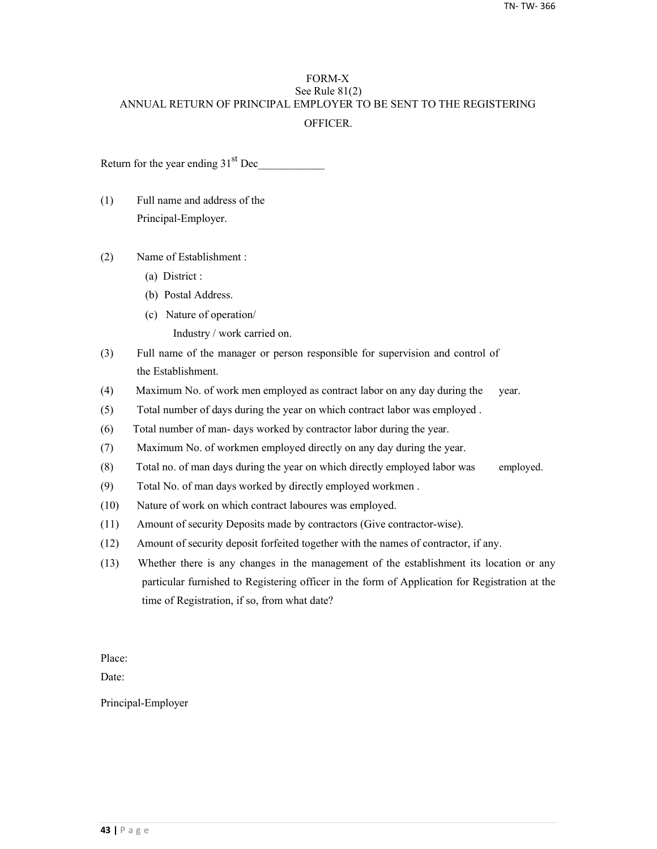## FORM-X See Rule 81(2) ANNUAL RETURN OF PRINCIPAL EMPLOYER TO BE SENT TO THE REGISTERING **OFFICER**

Return for the year ending  $31<sup>st</sup>$  Dec

- (1) Full name and address of the Principal-Employer.
- (2) Name of Establishment :
	- (a) District :
	- (b) Postal Address.
	- (c) Nature of operation/
		- Industry / work carried on.
- (3) Full name of the manager or person responsible for supervision and control of the Establishment.
- (4) Maximum No. of work men employed as contract labor on any day during the year.
- (5) Total number of days during the year on which contract labor was employed .
- (6) Total number of man- days worked by contractor labor during the year.
- (7) Maximum No. of workmen employed directly on any day during the year.
- (8) Total no. of man days during the year on which directly employed labor was employed.
- (9) Total No. of man days worked by directly employed workmen .
- (10) Nature of work on which contract laboures was employed.
- (11) Amount of security Deposits made by contractors (Give contractor-wise).
- (12) Amount of security deposit forfeited together with the names of contractor, if any.
- (13) Whether there is any changes in the management of the establishment its location or any particular furnished to Registering officer in the form of Application for Registration at the time of Registration, if so, from what date?

Place:

Date:

Principal-Employer